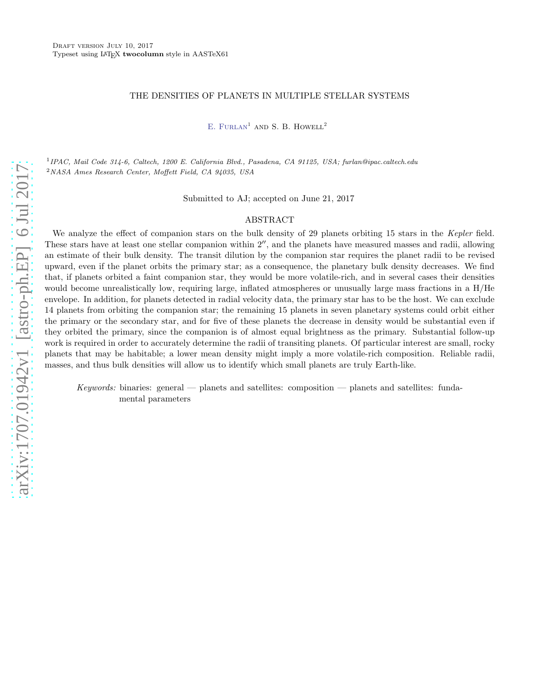# THE DENSITIES OF PLANETS IN MULTIPLE STELLAR SYSTEMS

E. FURLAN<sup>1</sup> AND S. B. HOWELL<sup>2</sup>

1 IPAC, Mail Code 314-6, Caltech, 1200 E. California Blvd., Pasadena, CA 91125, USA; furlan@ipac.caltech.edu <sup>2</sup>NASA Ames Research Center, Moffett Field, CA 94035, USA

Submitted to AJ; accepted on June 21, 2017

### ABSTRACT

We analyze the effect of companion stars on the bulk density of 29 planets orbiting 15 stars in the Kepler field. These stars have at least one stellar companion within 2′′, and the planets have measured masses and radii, allowing an estimate of their bulk density. The transit dilution by the companion star requires the planet radii to be revised upward, even if the planet orbits the primary star; as a consequence, the planetary bulk density decreases. We find that, if planets orbited a faint companion star, they would be more volatile-rich, and in several cases their densities would become unrealistically low, requiring large, inflated atmospheres or unusually large mass fractions in a H/He envelope. In addition, for planets detected in radial velocity data, the primary star has to be the host. We can exclude 14 planets from orbiting the companion star; the remaining 15 planets in seven planetary systems could orbit either the primary or the secondary star, and for five of these planets the decrease in density would be substantial even if they orbited the primary, since the companion is of almost equal brightness as the primary. Substantial follow-up work is required in order to accurately determine the radii of transiting planets. Of particular interest are small, rocky planets that may be habitable; a lower mean density might imply a more volatile-rich composition. Reliable radii, masses, and thus bulk densities will allow us to identify which small planets are truly Earth-like.

Keywords: binaries: general — planets and satellites: composition — planets and satellites: fundamental parameters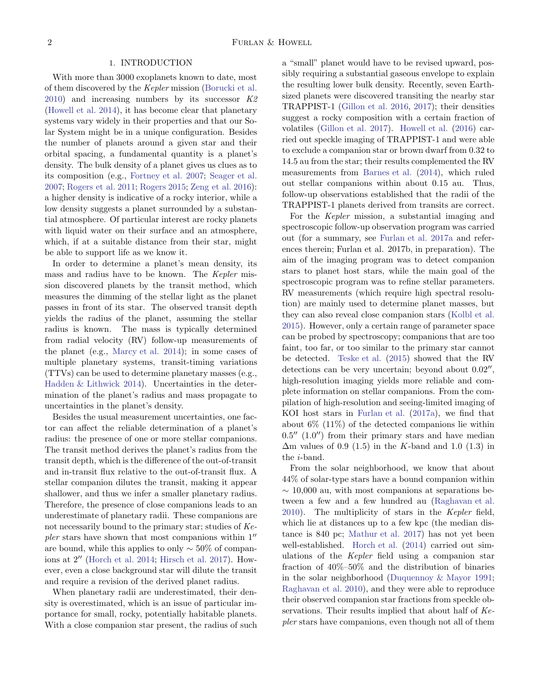## 1. INTRODUCTION

With more than 3000 exoplanets known to date, most of them discovered by the Kepler mission [\(Borucki et al.](#page-16-0)  $2010$ ) and increasing numbers by its successor  $K2$ [\(Howell et al. 2014\)](#page-16-1), it has become clear that planetary systems vary widely in their properties and that our Solar System might be in a unique configuration. Besides the number of planets around a given star and their orbital spacing, a fundamental quantity is a planet's density. The bulk density of a planet gives us clues as to its composition (e.g., [Fortney et al. 2007;](#page-16-2) [Seager et al.](#page-17-0) [2007;](#page-17-0) [Rogers et al. 2011;](#page-17-1) [Rogers 2015](#page-17-2); [Zeng et al. 2016\)](#page-17-3): a higher density is indicative of a rocky interior, while a low density suggests a planet surrounded by a substantial atmosphere. Of particular interest are rocky planets with liquid water on their surface and an atmosphere, which, if at a suitable distance from their star, might be able to support life as we know it.

In order to determine a planet's mean density, its mass and radius have to be known. The Kepler mission discovered planets by the transit method, which measures the dimming of the stellar light as the planet passes in front of its star. The observed transit depth yields the radius of the planet, assuming the stellar radius is known. The mass is typically determined from radial velocity (RV) follow-up measurements of the planet (e.g., [Marcy et al. 2014\)](#page-17-4); in some cases of multiple planetary systems, transit-timing variations (TTVs) can be used to determine planetary masses (e.g., [Hadden & Lithwick 2014\)](#page-16-3). Uncertainties in the determination of the planet's radius and mass propagate to uncertainties in the planet's density.

Besides the usual measurement uncertainties, one factor can affect the reliable determination of a planet's radius: the presence of one or more stellar companions. The transit method derives the planet's radius from the transit depth, which is the difference of the out-of-transit and in-transit flux relative to the out-of-transit flux. A stellar companion dilutes the transit, making it appear shallower, and thus we infer a smaller planetary radius. Therefore, the presence of close companions leads to an underestimate of planetary radii. These companions are not necessarily bound to the primary star; studies of Kepler stars have shown that most companions within  $1''$ are bound, while this applies to only  $\sim$  50% of companions at 2′′ [\(Horch et al. 2014;](#page-16-4) [Hirsch et al. 2017](#page-16-5)). However, even a close background star will dilute the transit and require a revision of the derived planet radius.

When planetary radii are underestimated, their density is overestimated, which is an issue of particular importance for small, rocky, potentially habitable planets. With a close companion star present, the radius of such a "small" planet would have to be revised upward, possibly requiring a substantial gaseous envelope to explain the resulting lower bulk density. Recently, seven Earthsized planets were discovered transiting the nearby star TRAPPIST-1 [\(Gillon et al. 2016,](#page-16-6) [2017](#page-16-7)); their densities suggest a rocky composition with a certain fraction of volatiles [\(Gillon et al. 2017\)](#page-16-7). [Howell et al.](#page-16-8) [\(2016](#page-16-8)) carried out speckle imaging of TRAPPIST-1 and were able to exclude a companion star or brown dwarf from 0.32 to 14.5 au from the star; their results complemented the RV measurements from [Barnes et al.](#page-16-9) [\(2014\)](#page-16-9), which ruled out stellar companions within about 0.15 au. Thus, follow-up observations established that the radii of the TRAPPIST-1 planets derived from transits are correct.

For the Kepler mission, a substantial imaging and spectroscopic follow-up observation program was carried out (for a summary, see [Furlan et al. 2017a](#page-16-10) and references therein; Furlan et al. 2017b, in preparation). The aim of the imaging program was to detect companion stars to planet host stars, while the main goal of the spectroscopic program was to refine stellar parameters. RV measurements (which require high spectral resolution) are mainly used to determine planet masses, but they can also reveal close companion stars [\(Kolbl et al.](#page-16-11) [2015\)](#page-16-11). However, only a certain range of parameter space can be probed by spectroscopy; companions that are too faint, too far, or too similar to the primary star cannot be detected. [Teske et al.](#page-17-5) [\(2015](#page-17-5)) showed that the RV detections can be very uncertain; beyond about  $0.02''$ , high-resolution imaging yields more reliable and complete information on stellar companions. From the compilation of high-resolution and seeing-limited imaging of KOI host stars in [Furlan et al.](#page-16-10) [\(2017a\)](#page-16-10), we find that about 6% (11%) of the detected companions lie within  $0.5''$   $(1.0'')$  from their primary stars and have median  $\Delta$ m values of 0.9 (1.5) in the K-band and 1.0 (1.3) in the i-band.

From the solar neighborhood, we know that about 44% of solar-type stars have a bound companion within  $\sim$  10,000 au, with most companions at separations between a few and a few hundred au [\(Raghavan et al.](#page-17-6) [2010\)](#page-17-6). The multiplicity of stars in the Kepler field, which lie at distances up to a few kpc (the median distance is 840 pc; [Mathur et al. 2017\)](#page-17-7) has not yet been well-established. [Horch et al.](#page-16-4) [\(2014\)](#page-16-4) carried out simulations of the Kepler field using a companion star fraction of 40%–50% and the distribution of binaries in the solar neighborhood [\(Duquennoy & Mayor 1991](#page-16-12); [Raghavan et al. 2010\)](#page-17-6), and they were able to reproduce their observed companion star fractions from speckle observations. Their results implied that about half of Kepler stars have companions, even though not all of them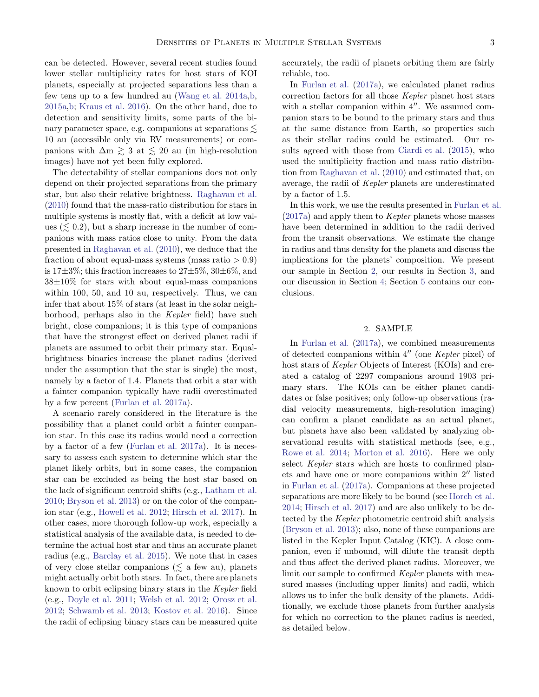can be detected. However, several recent studies found lower stellar multiplicity rates for host stars of KOI planets, especially at projected separations less than a few tens up to a few hundred au [\(Wang et al. 2014a](#page-17-8)[,b](#page-17-9), [2015a](#page-17-10)[,b](#page-17-11); [Kraus et al. 2016](#page-16-13)). On the other hand, due to detection and sensitivity limits, some parts of the binary parameter space, e.g. companions at separations  $\lesssim$ 10 au (accessible only via RV measurements) or companions with  $\Delta m \geq 3$  at  $\leq 20$  au (in high-resolution images) have not yet been fully explored.

The detectability of stellar companions does not only depend on their projected separations from the primary star, but also their relative brightness. [Raghavan et al.](#page-17-6) [\(2010\)](#page-17-6) found that the mass-ratio distribution for stars in multiple systems is mostly flat, with a deficit at low values  $(\leq 0.2)$ , but a sharp increase in the number of companions with mass ratios close to unity. From the data presented in [Raghavan et al.](#page-17-6) [\(2010\)](#page-17-6), we deduce that the fraction of about equal-mass systems (mass ratio  $> 0.9$ ) is  $17\pm3\%$ ; this fraction increases to  $27\pm5\%$ ,  $30\pm6\%$ , and  $38\pm10\%$  for stars with about equal-mass companions within 100, 50, and 10 au, respectively. Thus, we can infer that about 15% of stars (at least in the solar neighborhood, perhaps also in the Kepler field) have such bright, close companions; it is this type of companions that have the strongest effect on derived planet radii if planets are assumed to orbit their primary star. Equalbrightness binaries increase the planet radius (derived under the assumption that the star is single) the most, namely by a factor of 1.4. Planets that orbit a star with a fainter companion typically have radii overestimated by a few percent [\(Furlan et al. 2017a\)](#page-16-10).

A scenario rarely considered in the literature is the possibility that a planet could orbit a fainter companion star. In this case its radius would need a correction by a factor of a few [\(Furlan et al. 2017a\)](#page-16-10). It is necessary to assess each system to determine which star the planet likely orbits, but in some cases, the companion star can be excluded as being the host star based on the lack of significant centroid shifts (e.g., [Latham et al.](#page-16-14) [2010;](#page-16-14) [Bryson et al. 2013](#page-16-15)) or on the color of the companion star (e.g., [Howell et al. 2012;](#page-16-16) [Hirsch et al. 2017\)](#page-16-5). In other cases, more thorough follow-up work, especially a statistical analysis of the available data, is needed to determine the actual host star and thus an accurate planet radius (e.g., [Barclay et al. 2015](#page-16-17)). We note that in cases of very close stellar companions ( $\leq$  a few au), planets might actually orbit both stars. In fact, there are planets known to orbit eclipsing binary stars in the Kepler field (e.g., [Doyle et al. 2011;](#page-16-18) [Welsh et al. 2012;](#page-17-12) [Orosz et al.](#page-17-13) [2012;](#page-17-13) [Schwamb et al. 2013;](#page-17-14) [Kostov et al. 2016](#page-16-19)). Since the radii of eclipsing binary stars can be measured quite accurately, the radii of planets orbiting them are fairly reliable, too.

In [Furlan et al.](#page-16-10) [\(2017a\)](#page-16-10), we calculated planet radius correction factors for all those Kepler planet host stars with a stellar companion within  $4''$ . We assumed companion stars to be bound to the primary stars and thus at the same distance from Earth, so properties such as their stellar radius could be estimated. Our results agreed with those from [Ciardi et al.](#page-16-20) [\(2015](#page-16-20)), who used the multiplicity fraction and mass ratio distribution from [Raghavan et al.](#page-17-6) [\(2010\)](#page-17-6) and estimated that, on average, the radii of Kepler planets are underestimated by a factor of 1.5.

In this work, we use the results presented in [Furlan et al.](#page-16-10) [\(2017a\)](#page-16-10) and apply them to Kepler planets whose masses have been determined in addition to the radii derived from the transit observations. We estimate the change in radius and thus density for the planets and discuss the implications for the planets' composition. We present our sample in Section [2,](#page-2-0) our results in Section [3,](#page-10-0) and our discussion in Section [4;](#page-14-0) Section [5](#page-15-0) contains our conclusions.

# 2. SAMPLE

<span id="page-2-0"></span>In [Furlan et al.](#page-16-10) [\(2017a\)](#page-16-10), we combined measurements of detected companions within 4′′ (one Kepler pixel) of host stars of *Kepler* Objects of Interest (KOIs) and created a catalog of 2297 companions around 1903 primary stars. The KOIs can be either planet candidates or false positives; only follow-up observations (radial velocity measurements, high-resolution imaging) can confirm a planet candidate as an actual planet, but planets have also been validated by analyzing observational results with statistical methods (see, e.g., [Rowe et al. 2014;](#page-17-15) [Morton et al. 2016](#page-17-16)). Here we only select Kepler stars which are hosts to confirmed planets and have one or more companions within 2′′ listed in [Furlan et al.](#page-16-10) [\(2017a](#page-16-10)). Companions at these projected separations are more likely to be bound (see [Horch et al.](#page-16-4) [2014;](#page-16-4) [Hirsch et al. 2017\)](#page-16-5) and are also unlikely to be detected by the Kepler photometric centroid shift analysis [\(Bryson et al. 2013\)](#page-16-15); also, none of these companions are listed in the Kepler Input Catalog (KIC). A close companion, even if unbound, will dilute the transit depth and thus affect the derived planet radius. Moreover, we limit our sample to confirmed Kepler planets with measured masses (including upper limits) and radii, which allows us to infer the bulk density of the planets. Additionally, we exclude those planets from further analysis for which no correction to the planet radius is needed, as detailed below.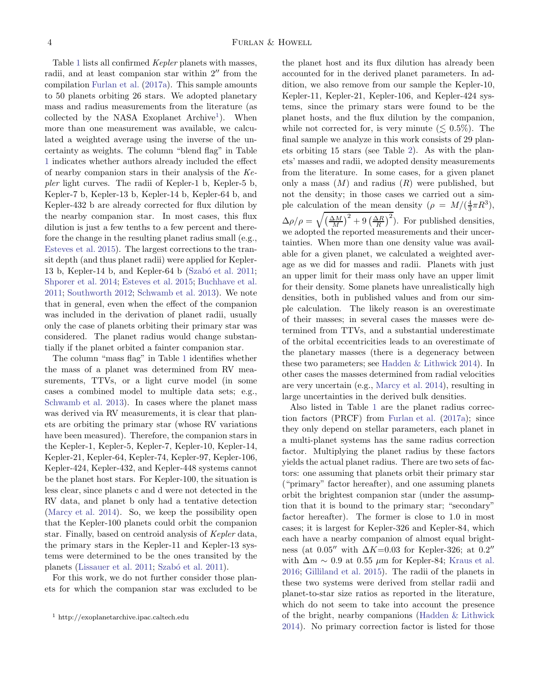Table [1](#page-5-0) lists all confirmed Kepler planets with masses, radii, and at least companion star within 2′′ from the compilation [Furlan et al.](#page-16-10) [\(2017a\)](#page-16-10). This sample amounts to 50 planets orbiting 26 stars. We adopted planetary mass and radius measurements from the literature (as collected by the NASA Exoplanet Archive<sup>[1](#page-3-0)</sup>). When more than one measurement was available, we calculated a weighted average using the inverse of the uncertainty as weights. The column "blend flag" in Table [1](#page-5-0) indicates whether authors already included the effect of nearby companion stars in their analysis of the Kepler light curves. The radii of Kepler-1 b, Kepler-5 b, Kepler-7 b, Kepler-13 b, Kepler-14 b, Kepler-64 b, and Kepler-432 b are already corrected for flux dilution by the nearby companion star. In most cases, this flux dilution is just a few tenths to a few percent and therefore the change in the resulting planet radius small (e.g., [Esteves et al. 2015](#page-16-21)). The largest corrections to the transit depth (and thus planet radii) were applied for Kepler-13 b, Kepler-14 b, and Kepler-64 b (Szabó et al. 2011; [Shporer et al. 2014](#page-17-18); [Esteves et al. 2015](#page-16-21); [Buchhave et al.](#page-16-22) [2011;](#page-16-22) [Southworth 2012](#page-17-19); [Schwamb et al. 2013](#page-17-14)). We note that in general, even when the effect of the companion was included in the derivation of planet radii, usually only the case of planets orbiting their primary star was considered. The planet radius would change substantially if the planet orbited a fainter companion star.

The column "mass flag" in Table [1](#page-5-0) identifies whether the mass of a planet was determined from RV measurements, TTVs, or a light curve model (in some cases a combined model to multiple data sets; e.g., [Schwamb et al. 2013\)](#page-17-14). In cases where the planet mass was derived via RV measurements, it is clear that planets are orbiting the primary star (whose RV variations have been measured). Therefore, the companion stars in the Kepler-1, Kepler-5, Kepler-7, Kepler-10, Kepler-14, Kepler-21, Kepler-64, Kepler-74, Kepler-97, Kepler-106, Kepler-424, Kepler-432, and Kepler-448 systems cannot be the planet host stars. For Kepler-100, the situation is less clear, since planets c and d were not detected in the RV data, and planet b only had a tentative detection [\(Marcy et al. 2014](#page-17-4)). So, we keep the possibility open that the Kepler-100 planets could orbit the companion star. Finally, based on centroid analysis of Kepler data, the primary stars in the Kepler-11 and Kepler-13 systems were determined to be the ones transited by the planets [\(Lissauer et al. 2011;](#page-16-23) Szabó et al. 2011).

For this work, we do not further consider those planets for which the companion star was excluded to be the planet host and its flux dilution has already been accounted for in the derived planet parameters. In addition, we also remove from our sample the Kepler-10, Kepler-11, Kepler-21, Kepler-106, and Kepler-424 systems, since the primary stars were found to be the planet hosts, and the flux dilution by the companion, while not corrected for, is very minute  $(\leq 0.5\%)$ . The final sample we analyze in this work consists of 29 planets orbiting 15 stars (see Table [2\)](#page-8-0). As with the planets' masses and radii, we adopted density measurements from the literature. In some cases, for a given planet only a mass  $(M)$  and radius  $(R)$  were published, but not the density; in those cases we carried out a simple calculation of the mean density  $(\rho = M/(\frac{4}{3}\pi R^3))$ ,  $\Delta \rho/\rho = \sqrt{\left(\frac{\Delta M}{M}\right)^2 + 9\left(\frac{\Delta R}{R}\right)^2}$ . For published densities, we adopted the reported measurements and their uncertainties. When more than one density value was available for a given planet, we calculated a weighted average as we did for masses and radii. Planets with just an upper limit for their mass only have an upper limit for their density. Some planets have unrealistically high densities, both in published values and from our simple calculation. The likely reason is an overestimate of their masses; in several cases the masses were determined from TTVs, and a substantial underestimate of the orbital eccentricities leads to an overestimate of the planetary masses (there is a degeneracy between these two parameters; see [Hadden & Lithwick 2014\)](#page-16-3). In other cases the masses determined from radial velocities are very uncertain (e.g., [Marcy et al. 2014](#page-17-4)), resulting in large uncertainties in the derived bulk densities.

Also listed in Table [1](#page-5-0) are the planet radius correction factors (PRCF) from [Furlan et al.](#page-16-10) [\(2017a\)](#page-16-10); since they only depend on stellar parameters, each planet in a multi-planet systems has the same radius correction factor. Multiplying the planet radius by these factors yields the actual planet radius. There are two sets of factors: one assuming that planets orbit their primary star ("primary" factor hereafter), and one assuming planets orbit the brightest companion star (under the assumption that it is bound to the primary star; "secondary" factor hereafter). The former is close to 1.0 in most cases; it is largest for Kepler-326 and Kepler-84, which each have a nearby companion of almost equal brightness (at  $0.05''$  with  $\Delta K=0.03$  for Kepler-326; at  $0.2''$ with  $\Delta m \sim 0.9$  at 0.55  $\mu$ m for Kepler-84; [Kraus et al.](#page-16-13) [2016;](#page-16-13) [Gilliland et al. 2015\)](#page-16-24). The radii of the planets in these two systems were derived from stellar radii and planet-to-star size ratios as reported in the literature, which do not seem to take into account the presence of the bright, nearby companions [\(Hadden & Lithwick](#page-16-3) [2014\)](#page-16-3). No primary correction factor is listed for those

<span id="page-3-0"></span><sup>1</sup> http://exoplanetarchive.ipac.caltech.edu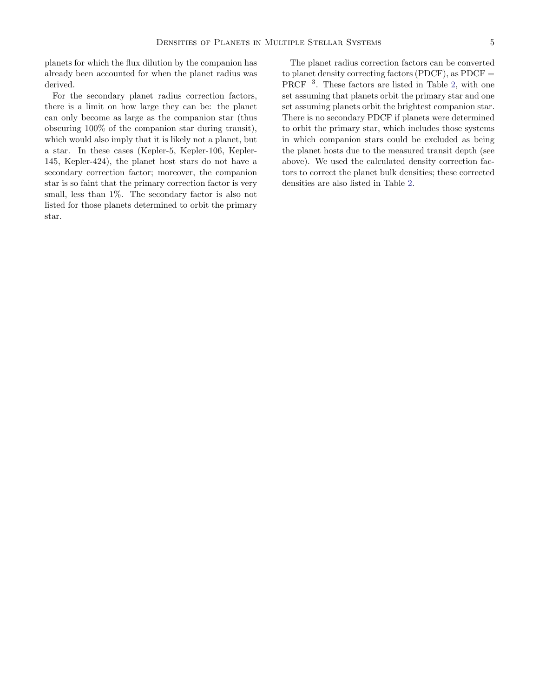planets for which the flux dilution by the companion has already been accounted for when the planet radius was derived.

For the secondary planet radius correction factors, there is a limit on how large they can be: the planet can only become as large as the companion star (thus obscuring 100% of the companion star during transit), which would also imply that it is likely not a planet, but a star. In these cases (Kepler-5, Kepler-106, Kepler-145, Kepler-424), the planet host stars do not have a secondary correction factor; moreover, the companion star is so faint that the primary correction factor is very small, less than 1%. The secondary factor is also not listed for those planets determined to orbit the primary star.

The planet radius correction factors can be converted to planet density correcting factors (PDCF), as  $PDCF =$ PRCF−<sup>3</sup> . These factors are listed in Table [2,](#page-8-0) with one set assuming that planets orbit the primary star and one set assuming planets orbit the brightest companion star. There is no secondary PDCF if planets were determined to orbit the primary star, which includes those systems in which companion stars could be excluded as being the planet hosts due to the measured transit depth (see above). We used the calculated density correction factors to correct the planet bulk densities; these corrected densities are also listed in Table [2.](#page-8-0)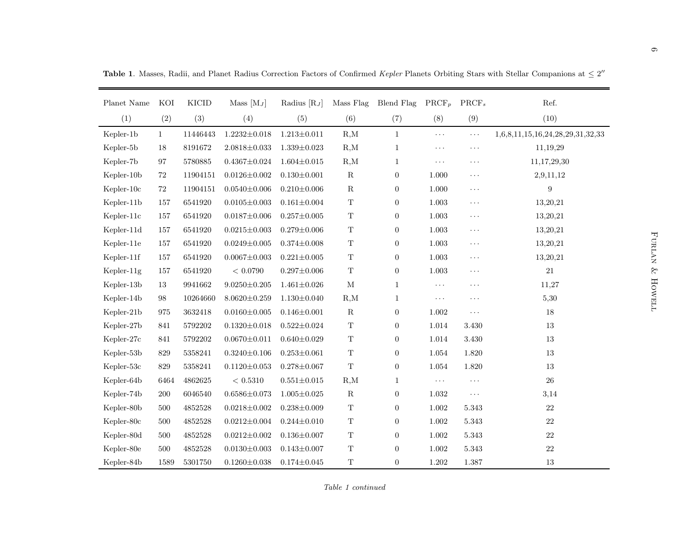|              |              |              |                    |                   |             |                  |                      |                   | <b>Table 1.</b> Masses, Radii, and Planet Radius Correction Factors of Confirmed Kepler Planets Orbiting Stars with Stellar Companions at $\leq 2''$ |  |
|--------------|--------------|--------------|--------------------|-------------------|-------------|------------------|----------------------|-------------------|------------------------------------------------------------------------------------------------------------------------------------------------------|--|
| Planet Name  | KOI          | <b>KICID</b> | Mass $[M_J]$       | Radius $[R_J]$    | Mass Flag   | Blend Flag       | $\mathrm{PRCF}_p$    | $\mathrm{PRCF}_s$ | Ref.                                                                                                                                                 |  |
| (1)          | (2)          | (3)          | (4)                | (5)               | (6)         | (7)              | (8)                  | (9)               | (10)                                                                                                                                                 |  |
| Kepler-1b    | $\mathbf{1}$ | 11446443     | $1.2232{\pm}0.018$ | $1.213 \pm 0.011$ | R,M         | $\mathbf{1}$     | $\ldots$             | $\ldots$          | 1,6,8,11,15,16,24,28,29,31,32,33                                                                                                                     |  |
| Kepler-5b    | $18\,$       | 8191672      | $2.0818 \pm 0.033$ | $1.339 \pm 0.023$ | R,M         | $\mathbf{1}$     | $\ldots$ .           | $\ddotsc$         | 11,19,29                                                                                                                                             |  |
| Kepler-7b    | $\rm 97$     | 5780885      | $0.4367{\pm}0.024$ | $1.604 \pm 0.015$ | R,M         | 1                | $\sim$ $\sim$ $\sim$ | $\ddotsc$         | 11,17,29,30                                                                                                                                          |  |
| Kepler-10b   | $72\,$       | 11904151     | $0.0126 \pm 0.002$ | $0.130 \pm 0.001$ | ${\bf R}$   | $\boldsymbol{0}$ | 1.000                | $\ldots$          | 2,9,11,12                                                                                                                                            |  |
| Kepler-10c   | 72           | 11904151     | $0.0540 \pm 0.006$ | $0.210 \pm 0.006$ | ${\bf R}$   | $\boldsymbol{0}$ | 1.000                | $\ldots$          | $\boldsymbol{9}$                                                                                                                                     |  |
| Kepler-11b   | 157          | 6541920      | $0.0105 \pm 0.003$ | $0.161 \pm 0.004$ | $\mathbf T$ | $\boldsymbol{0}$ | $1.003\,$            | $\ldots$          | 13,20,21                                                                                                                                             |  |
| Kepler-11c   | 157          | 6541920      | $0.0187 \pm 0.006$ | $0.257 \pm 0.005$ | $\mathbf T$ | $\boldsymbol{0}$ | $1.003\,$            | $\ldots$          | 13,20,21                                                                                                                                             |  |
| Kepler-11d   | 157          | 6541920      | $0.0215 \pm 0.003$ | $0.279 \pm 0.006$ | $\mathbf T$ | $\boldsymbol{0}$ | $1.003\,$            | $\ldots$          | 13,20,21                                                                                                                                             |  |
| Kepler-11e   | 157          | 6541920      | $0.0249 \pm 0.005$ | $0.374 \pm 0.008$ | $\mathbf T$ | $\boldsymbol{0}$ | 1.003                | $\ldots$          | 13,20,21                                                                                                                                             |  |
| Kepler-11f   | 157          | 6541920      | $0.0067 \pm 0.003$ | $0.221 \pm 0.005$ | $\mathbf T$ | $\boldsymbol{0}$ | $1.003\,$            | $\ddotsc$         | 13,20,21                                                                                                                                             |  |
| $Kepler-11g$ | 157          | 6541920      | < 0.0790           | $0.297 \pm 0.006$ | $\mathbf T$ | $\boldsymbol{0}$ | 1.003                | $\ldots$          | 21                                                                                                                                                   |  |
| Kepler-13b   | 13           | 9941662      | $9.0250 \pm 0.205$ | $1.461 \pm 0.026$ | $\mathbf M$ | $\mathbf{1}$     | $\ldots$ .           | $\ddots$          | 11,27                                                                                                                                                |  |
| Kepler-14b   | $98\,$       | 10264660     | $8.0620 \pm 0.259$ | $1.130 \pm 0.040$ | R,M         | 1                | $\sim$ $\sim$ $\sim$ | $\ddotsc$         | 5,30                                                                                                                                                 |  |
| Kepler-21b   | 975          | 3632418      | $0.0160 \pm 0.005$ | $0.146 \pm 0.001$ | ${\bf R}$   | $\boldsymbol{0}$ | 1.002                | $\ddotsc$         | $18\,$                                                                                                                                               |  |
| Kepler-27b   | 841          | 5792202      | $0.1320 \pm 0.018$ | $0.522 \pm 0.024$ | $\mathbf T$ | $\boldsymbol{0}$ | $1.014\,$            | $3.430\,$         | 13                                                                                                                                                   |  |
| Kepler-27c   | $841\,$      | 5792202      | $0.0670 \pm 0.011$ | $0.640 \pm 0.029$ | $\mathbf T$ | $\boldsymbol{0}$ | 1.014                | 3.430             | 13                                                                                                                                                   |  |
| Kepler-53b   | 829          | 5358241      | $0.3240 \pm 0.106$ | $0.253 \pm 0.061$ | T           | $\boldsymbol{0}$ | 1.054                | 1.820             | 13                                                                                                                                                   |  |
| Kepler-53c   | $829\,$      | 5358241      | $0.1120 \pm 0.053$ | $0.278 \pm 0.067$ | $\mathbf T$ | $\boldsymbol{0}$ | $1.054\,$            | 1.820             | 13                                                                                                                                                   |  |
| Kepler-64b   | 6464         | 4862625      | $<\,0.5310$        | $0.551 \pm 0.015$ | R,M         | $\mathbf{1}$     | $\ldots$ .           | $\ddotsc$         | $26\,$                                                                                                                                               |  |
| Kepler-74b   | 200          | 6046540      | $0.6586 \pm 0.073$ | $1.005 \pm 0.025$ | $\mathbf R$ | $\boldsymbol{0}$ | 1.032                | $\ddotsc$         | 3,14                                                                                                                                                 |  |
| Kepler-80b   | 500          | 4852528      | $0.0218 \pm 0.002$ | $0.238 \pm 0.009$ | $\mathbf T$ | $\boldsymbol{0}$ | $1.002\,$            | 5.343             | $22\,$                                                                                                                                               |  |
| Kepler-80c   | 500          | 4852528      | $0.0212 \pm 0.004$ | $0.244 \pm 0.010$ | $\mathbf T$ | $\boldsymbol{0}$ | $1.002\,$            | $5.343\,$         | $22\,$                                                                                                                                               |  |
| Kepler-80d   | 500          | 4852528      | $0.0212 \pm 0.002$ | $0.136 \pm 0.007$ | $\mathbf T$ | $\boldsymbol{0}$ | 1.002                | 5.343             | $22\,$                                                                                                                                               |  |
| Kepler-80e   | 500          | 4852528      | $0.0130 \pm 0.003$ | $0.143 \pm 0.007$ | $\mathbf T$ | $\boldsymbol{0}$ | $1.002\,$            | 5.343             | $22\,$                                                                                                                                               |  |
| Kepler-84b   | 1589         | 5301750      | $0.1260 \pm 0.038$ | $0.174 \pm 0.045$ | $\mathbf T$ | $\overline{0}$   | 1.202                | 1.387             | 13                                                                                                                                                   |  |

<span id="page-5-0"></span>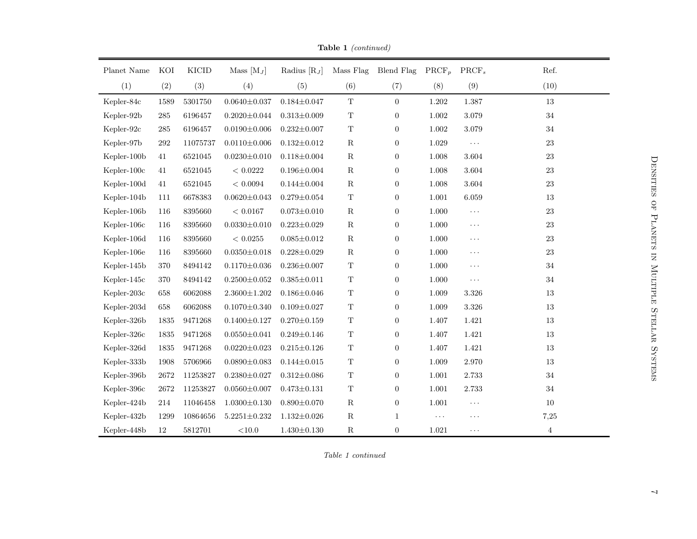| Planet Name | KOI      | <b>KICID</b> | Mass $[M_J]$       | Radius $[R_J]$    | Mass Flag   | Blend Flag       | $\mathrm{PRCF}_p$ | $\text{PRCF}_s$ | Ref.           |
|-------------|----------|--------------|--------------------|-------------------|-------------|------------------|-------------------|-----------------|----------------|
| (1)         | (2)      | (3)          | (4)                | (5)               | (6)         | (7)              | (8)               | (9)             | (10)           |
| Kepler-84c  | 1589     | 5301750      | $0.0640 \pm 0.037$ | $0.184 \pm 0.047$ | $\mathbf T$ | $\overline{0}$   | 1.202             | 1.387           | 13             |
| Kepler-92b  | $285\,$  | 6196457      | $0.2020 \pm 0.044$ | $0.313 \pm 0.009$ | $\mathbf T$ | $\boldsymbol{0}$ | $1.002\,$         | 3.079           | $34\,$         |
| Kepler-92c  | 285      | 6196457      | $0.0190 \pm 0.006$ | $0.232 \pm 0.007$ | $\mathbf T$ | $\boldsymbol{0}$ | 1.002             | 3.079           | $34\,$         |
| Kepler-97b  | $\,292$  | 11075737     | $0.0110 \pm 0.006$ | $0.132 \pm 0.012$ | ${\bf R}$   | $\overline{0}$   | 1.029             | $\ldots$        | $23\,$         |
| Kepler-100b | 41       | 6521045      | $0.0230 \pm 0.010$ | $0.118 \pm 0.004$ | $\mathbf R$ | $\overline{0}$   | $1.008\,$         | 3.604           | $23\,$         |
| Kepler-100c | 41       | 6521045      | < 0.0222           | $0.196 \pm 0.004$ | ${\bf R}$   | $\boldsymbol{0}$ | 1.008             | 3.604           | $23\,$         |
| Kepler-100d | 41       | 6521045      | < 0.0094           | $0.144 \pm 0.004$ | ${\bf R}$   | $\overline{0}$   | 1.008             | $3.604\,$       | $23\,$         |
| Kepler-104b | 111      | 6678383      | $0.0620 \pm 0.043$ | $0.279 \pm 0.054$ | $\mathbf T$ | $\overline{0}$   | 1.001             | $6.059\,$       | 13             |
| Kepler-106b | 116      | 8395660      | < 0.0167           | $0.073 \pm 0.010$ | ${\bf R}$   | $\boldsymbol{0}$ | 1.000             | $\ldots$        | $23\,$         |
| Kepler-106c | 116      | 8395660      | $0.0330 \pm 0.010$ | $0.223 \pm 0.029$ | ${\bf R}$   | $\boldsymbol{0}$ | 1.000             | $\ldots$        | $23\,$         |
| Kepler-106d | 116      | 8395660      | $<\,0.0255$        | $0.085 \pm 0.012$ | ${\bf R}$   | $\overline{0}$   | 1.000             | $\ldots$ .      | $23\,$         |
| Kepler-106e | 116      | 8395660      | $0.0350 \pm 0.018$ | $0.228 \pm 0.029$ | $\mathbf R$ | $\overline{0}$   | 1.000             | $\ldots$        | $23\,$         |
| Kepler-145b | 370      | 8494142      | $0.1170 \pm 0.036$ | $0.236 \pm 0.007$ | $\mathbf T$ | $\boldsymbol{0}$ | $1.000\,$         | $\ldots$        | $34\,$         |
| Kepler-145c | 370      | 8494142      | $0.2500 \pm 0.052$ | $0.385 \pm 0.011$ | $\mathbf T$ | $\overline{0}$   | 1.000             | $\ldots$        | 34             |
| Kepler-203c | 658      | 6062088      | $2.3600 \pm 1.202$ | $0.186 \pm 0.046$ | $\mathbf T$ | $\overline{0}$   | 1.009             | 3.326           | 13             |
| Kepler-203d | 658      | 6062088      | $0.1070 \pm 0.340$ | $0.109 \pm 0.027$ | $\mathbf T$ | $\overline{0}$   | 1.009             | $3.326\,$       | 13             |
| Kepler-326b | 1835     | 9471268      | $0.1400 \pm 0.127$ | $0.270 \pm 0.159$ | $\mathbf T$ | $\boldsymbol{0}$ | 1.407             | 1.421           | 13             |
| Kepler-326c | 1835     | 9471268      | $0.0550 \pm 0.041$ | $0.249 \pm 0.146$ | $\mathbf T$ | $\overline{0}$   | 1.407             | 1.421           | 13             |
| Kepler-326d | 1835     | 9471268      | $0.0220 \pm 0.023$ | $0.215 \pm 0.126$ | $\mathbf T$ | $\overline{0}$   | 1.407             | $1.421\,$       | 13             |
| Kepler-333b | 1908     | 5706966      | $0.0890 \pm 0.083$ | $0.144 \pm 0.015$ | $\mathbf T$ | $\boldsymbol{0}$ | 1.009             | 2.970           | 13             |
| Kepler-396b | $2672\,$ | 11253827     | $0.2380 \pm 0.027$ | $0.312 \pm 0.086$ | $\mathbf T$ | $\overline{0}$   | 1.001             | 2.733           | 34             |
| Kepler-396c | $2672\,$ | 11253827     | $0.0560 \pm 0.007$ | $0.473 \pm 0.131$ | $\mathbf T$ | $\overline{0}$   | 1.001             | 2.733           | $34\,$         |
| Kepler-424b | 214      | 11046458     | $1.0300 \pm 0.130$ | $0.890 \pm 0.070$ | ${\bf R}$   | $\boldsymbol{0}$ | 1.001             | $\ldots$        | 10             |
| Kepler-432b | 1299     | 10864656     | $5.2251{\pm}0.232$ | $1.132 \pm 0.026$ | ${\bf R}$   | $\mathbf{1}$     | $\cdots$          | $\cdots$        | 7,25           |
| Kepler-448b | 12       | 5812701      | $<\!\!10.0$        | $1.430 \pm 0.130$ | ${\bf R}$   | $\overline{0}$   | 1.021             | $\ddotsc$       | $\overline{4}$ |

Table 1 (continued)

Table <sup>1</sup> continued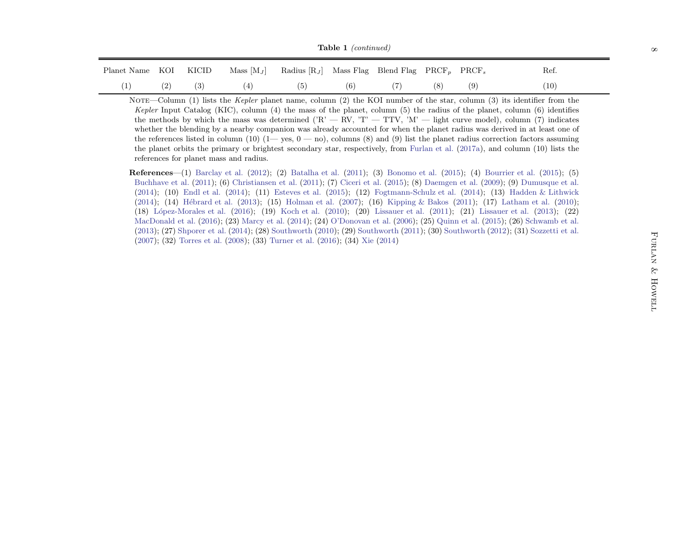|  | Planet Name KOI KICID Mass $[M_J]$ Radius $[R_J]$ Mass Flag Blend Flag PRCF <sub>p</sub> PRCF <sub>s</sub> |  |  |  | Ref. |
|--|------------------------------------------------------------------------------------------------------------|--|--|--|------|
|  | (1) (2) (3) (4) (5) (6) (7) (8) (9)                                                                        |  |  |  | (10) |

Furlan & Howell Table <sup>1</sup> (continued) Planet Name KOI KICID Mass [M<sup>J</sup> ] Radius [RJ] Mass Flag Blend Flag PRCF<sup>p</sup> PRCF<sup>s</sup> Ref. (1) (2) (3) (4) (5) (6) (7) (8) (9) (10) Note—Column (1) lists the Kepler <sup>p</sup>lanet name, column (2) the KOI number of the star, column (3) its identifier from the Kepler Input Catalog (KIC), column (4) the mass of the <sup>p</sup>lanet, column (5) the radius of the <sup>p</sup>lanet, column (6) identifies the methods by which the mass was determined ('R' — RV, 'T' — TTV, 'M' — light curve model), column (7) indicates whether the blending by <sup>a</sup> nearby companion was already accounted for when the <sup>p</sup>lanet radius was derived in at least one of the references listed in column (10) (1— yes, <sup>0</sup> — no), columns (8) and (9) list the <sup>p</sup>lanet radius correction factors assuming the <sup>p</sup>lanet orbits the primary or brightest secondary star, respectively, from [Furlan](#page-16-25) et al. [\(2017a](#page-16-25)), and column (10) lists the references for <sup>p</sup>lanet mass and radius. References—(1) [Barclay](#page-16-26) et al. ([2012](#page-16-26)); (2) [Batalha](#page-16-27) et al. [\(2011](#page-16-27)); (3) [Bonomo](#page-16-28) et al. [\(2015](#page-16-28)); (4) [Bourrier](#page-16-29) et al. [\(2015](#page-16-29)); (5) [Buchhave](#page-16-30) et al. [\(2011](#page-16-30)); (6) [Christiansen](#page-16-31) et al. [\(2011](#page-16-31)); (7) [Ciceri](#page-16-32) et al. [\(2015](#page-16-32)); (8) [Daemgen](#page-16-33) et al. [\(2009](#page-16-33)); (9) [Dumusque](#page-16-34) et al. [\(2014](#page-16-34)); (10) [Endl](#page-16-35) et al. [\(2014](#page-16-35)); (11) [Esteves](#page-16-36) et al. [\(2015](#page-16-36)); (12) [Fogtmann-Schulz](#page-16-37) et al. [\(2014](#page-16-37)); (13) Hadden & [Lithwick](#page-16-38) [\(2014](#page-16-38)); (14) [H´ebrard](#page-16-39) et al. [\(2013](#page-16-39)); (15) [Holman](#page-16-40) et al. [\(2007](#page-16-40)); (16) [Kipping](#page-16-41) & Bakos [\(2011](#page-16-41)); (17) [Latham](#page-16-42) et al. [\(2010](#page-16-42)); (18) [L´opez-Morales](#page-17-20) et al. [\(2016](#page-17-20)); (19) [Koch](#page-16-43) et al. [\(2010](#page-16-43)); (20) [Lissauer](#page-16-44) et al. ([2011](#page-16-44)); (21) [Lissauer](#page-16-45) et al. [\(2013](#page-16-45)); (22) [MacDonald](#page-17-21) et al. [\(2016](#page-17-21)); (23) [Marcy](#page-17-22) et al. [\(2014](#page-17-22)); (24) [O'Donovan](#page-17-23) et al. [\(2006](#page-17-23)); (25) [Quinn](#page-17-24) et al. [\(2015](#page-17-24)); (26) [Schwamb](#page-17-25) et al. [\(2013](#page-17-25)); (27) [Shporer](#page-17-26) et al. [\(2014](#page-17-26)); (28) [Southworth](#page-17-27) [\(2010](#page-17-27)); (29) [Southworth](#page-17-28) [\(2011](#page-17-28)); (30) [Southworth](#page-17-29) [\(2012](#page-17-29)); (31) [Sozzetti](#page-17-30) et al. [\(2007](#page-17-30)); (32) [Torres](#page-17-31) et al. [\(2008](#page-17-31)); (33) [Turner](#page-17-32) et al. [\(2016](#page-17-32)); (34) [Xie](#page-17-33) [\(2014](#page-17-33))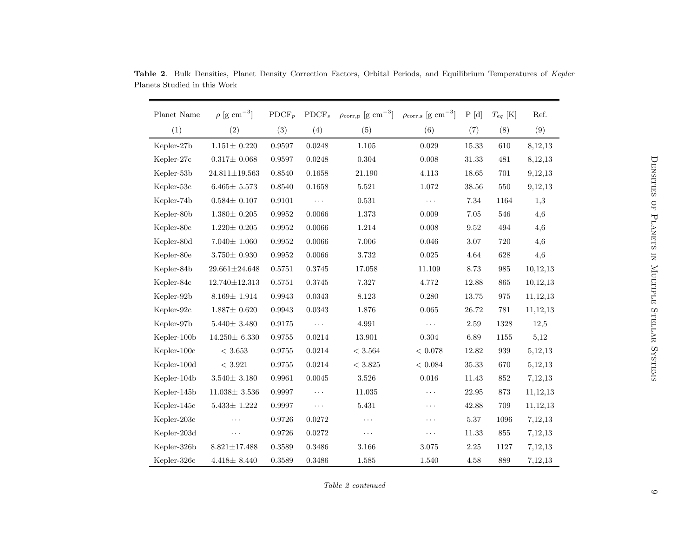<span id="page-8-0"></span>

| Planet Name | $\rho$ [g cm <sup>-3</sup> ] | $\mathrm{PDCF}_p$ | $\mathrm{PDCF}_s$ | $\rho_{\text{corr,p}}$ [g cm <sup>-3</sup> ] | $\rho_{\text{corr,s}}$ [g cm <sup>-3</sup> ] | P[d]     | $T_{eq}$ [K] | Ref.       |
|-------------|------------------------------|-------------------|-------------------|----------------------------------------------|----------------------------------------------|----------|--------------|------------|
| (1)         | (2)                          | (3)               | (4)               | (5)                                          | (6)                                          | (7)      | (8)          | (9)        |
| Kepler-27b  | $1.151 \pm 0.220$            | 0.9597            | 0.0248            | 1.105                                        | 0.029                                        | 15.33    | 610          | 8,12,13    |
| Kepler-27c  | $0.317 \pm 0.068$            | 0.9597            | 0.0248            | 0.304                                        | 0.008                                        | 31.33    | 481          | 8,12,13    |
| Kepler-53b  | $24.811 \pm 19.563$          | 0.8540            | 0.1658            | 21.190                                       | 4.113                                        | 18.65    | 701          | 9,12,13    |
| Kepler-53c  | $6.465 \pm 5.573$            | 0.8540            | 0.1658            | 5.521                                        | 1.072                                        | 38.56    | 550          | 9,12,13    |
| Kepler-74b  | $0.584 \pm 0.107$            | 0.9101            | $\ldots$          | 0.531                                        | $\sim$ $\sim$ $\sim$                         | 7.34     | 1164         | 1,3        |
| Kepler-80b  | $1.380 \pm 0.205$            | 0.9952            | 0.0066            | 1.373                                        | 0.009                                        | 7.05     | 546          | 4,6        |
| Kepler-80c  | $1.220{\pm}~0.205$           | 0.9952            | 0.0066            | 1.214                                        | 0.008                                        | 9.52     | 494          | 4,6        |
| Kepler-80d  | $7.040 \pm 1.060$            | 0.9952            | 0.0066            | 7.006                                        | 0.046                                        | 3.07     | 720          | 4,6        |
| Kepler-80e  | $3.750 \pm 0.930$            | 0.9952            | 0.0066            | 3.732                                        | 0.025                                        | 4.64     | 628          | 4,6        |
| Kepler-84b  | $29.661 \pm 24.648$          | 0.5751            | 0.3745            | 17.058                                       | 11.109                                       | 8.73     | 985          | 10,12,13   |
| Kepler-84c  | $12.740 \pm 12.313$          | 0.5751            | 0.3745            | 7.327                                        | 4.772                                        | 12.88    | 865          | 10,12,13   |
| Kepler-92b  | $8.169 \pm 1.914$            | 0.9943            | 0.0343            | 8.123                                        | 0.280                                        | 13.75    | 975          | 11, 12, 13 |
| Kepler-92c  | $1.887 \pm 0.620$            | 0.9943            | 0.0343            | 1.876                                        | 0.065                                        | 26.72    | 781          | 11, 12, 13 |
| Kepler-97b  | $5.440 \pm 3.480$            | 0.9175            | $\ldots$          | 4.991                                        | $\sim$ $\sim$ $\sim$                         | 2.59     | 1328         | 12,5       |
| Kepler-100b | $14.250 \pm 6.330$           | 0.9755            | 0.0214            | 13.901                                       | $0.304\,$                                    | 6.89     | 1155         | 5,12       |
| Kepler-100c | < 3.653                      | 0.9755            | 0.0214            | < 3.564                                      | < 0.078                                      | 12.82    | 939          | 5,12,13    |
| Kepler-100d | < 3.921                      | 0.9755            | 0.0214            | < 3.825                                      | < 0.084                                      | 35.33    | 670          | 5,12,13    |
| Kepler-104b | $3.540 \pm\ 3.180$           | 0.9961            | 0.0045            | 3.526                                        | 0.016                                        | 11.43    | 852          | 7,12,13    |
| Kepler-145b | $11.038 \pm 3.536$           | 0.9997            | $\cdots$          | 11.035                                       | $\cdots$                                     | 22.95    | 873          | 11, 12, 13 |
| Kepler-145c | $5.433 \pm 1.222$            | 0.9997            | $\ldots$ .        | 5.431                                        | $\cdots$                                     | 42.88    | 709          | 11, 12, 13 |
| Kepler-203c | $\ddots$                     | 0.9726            | 0.0272            | $\cdots$                                     | $\cdots$                                     | 5.37     | 1096         | 7,12,13    |
| Kepler-203d | $\ddots$                     | 0.9726            | 0.0272            | $\ddotsc$                                    | $\cdots$                                     | 11.33    | 855          | 7,12,13    |
| Kepler-326b | $8.821 \pm 17.488$           | 0.3589            | 0.3486            | 3.166                                        | 3.075                                        | $2.25\,$ | 1127         | 7,12,13    |
| Kepler-326c | $4.418 \pm 8.440$            | 0.3589            | 0.3486            | 1.585                                        | 1.540                                        | 4.58     | 889          | 7,12,13    |

Table <sup>2</sup>. Bulk Densities, Planet Density Correction Factors, Orbital Periods, and Equilibrium Temperatures of Kepler Planets Studied in this Work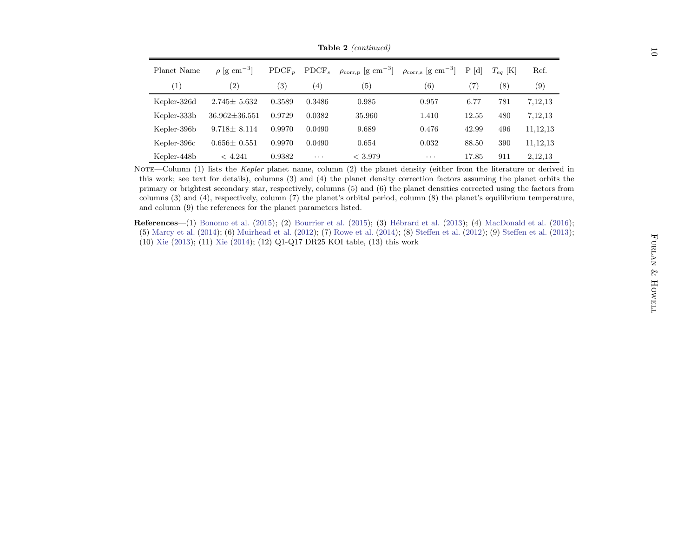|             |                                                                 |        |                                     | <b>Table 2</b> (continued)                                                                                                                                                                                                                                                                                                                             |                                           |       |              |            |  |
|-------------|-----------------------------------------------------------------|--------|-------------------------------------|--------------------------------------------------------------------------------------------------------------------------------------------------------------------------------------------------------------------------------------------------------------------------------------------------------------------------------------------------------|-------------------------------------------|-------|--------------|------------|--|
| Planet Name | $\rho$ [g cm <sup>-3</sup> ]                                    |        | $\mathrm{PDCF}_p$ PDCF <sub>s</sub> | $\rho_{\text{corr,p}}$ [g cm <sup>-3</sup> ]                                                                                                                                                                                                                                                                                                           | $\rho_{\rm corr,s}$ [g cm <sup>-3</sup> ] | P[d]  | $T_{eq}$ [K] | Ref.       |  |
| (1)         | (2)                                                             | (3)    | (4)                                 | (5)                                                                                                                                                                                                                                                                                                                                                    | (6)                                       | (7)   | (8)          | (9)        |  |
| Kepler-326d | $2.745 \pm 5.632$                                               | 0.3589 | 0.3486                              | 0.985                                                                                                                                                                                                                                                                                                                                                  | 0.957                                     | 6.77  | 781          | 7,12,13    |  |
| Kepler-333b | $36.962 \pm 36.551$                                             | 0.9729 | 0.0382                              | 35.960                                                                                                                                                                                                                                                                                                                                                 | 1.410                                     | 12.55 | 480          | 7,12,13    |  |
| Kepler-396b | $9.718 \pm 8.114$                                               | 0.9970 | 0.0490                              | 9.689                                                                                                                                                                                                                                                                                                                                                  | 0.476                                     | 42.99 | 496          | 11, 12, 13 |  |
| Kepler-396c | $0.656 \pm 0.551$                                               | 0.9970 | 0.0490                              | 0.654                                                                                                                                                                                                                                                                                                                                                  | 0.032                                     | 88.50 | 390          | 11, 12, 13 |  |
| Kepler-448b | < 4.241                                                         | 0.9382 | $\ldots$                            | < 3.979                                                                                                                                                                                                                                                                                                                                                | $\ldots$                                  | 17.85 | 911          | 2,12,13    |  |
|             | and column (9) the references for the planet parameters listed. |        |                                     | columns $(3)$ and $(4)$ , respectively, column $(7)$ the planet's orbital period, column $(8)$ the planet's equilibrium temperature,                                                                                                                                                                                                                   |                                           |       |              |            |  |
|             |                                                                 |        |                                     | <b>References</b> —(1) Bonomo et al. (2015); (2) Bourrier et al. (2015); (3) Hébrard et al. (2013); (4) MacDonald et al. (2016);<br>(5) Marcy et al. (2014); (6) Muirhead et al. (2012); (7) Rowe et al. (2014); (8) Steffen et al. (2012); (9) Steffen et al. (2013);<br>(10) Xie (2013); (11) Xie (2014); (12) Q1-Q17 DR25 KOI table, (13) this work |                                           |       |              |            |  |
|             |                                                                 |        |                                     |                                                                                                                                                                                                                                                                                                                                                        |                                           |       |              |            |  |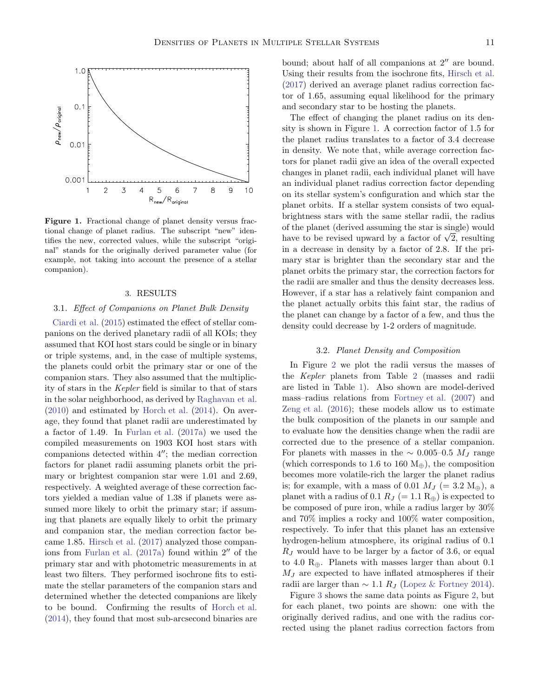

<span id="page-10-1"></span>Figure 1. Fractional change of planet density versus fractional change of planet radius. The subscript "new" identifies the new, corrected values, while the subscript "original" stands for the originally derived parameter value (for example, not taking into account the presence of a stellar companion).

### 3. RESULTS

#### <span id="page-10-0"></span>3.1. Effect of Companions on Planet Bulk Density

[Ciardi et al.](#page-16-20) [\(2015\)](#page-16-20) estimated the effect of stellar companions on the derived planetary radii of all KOIs; they assumed that KOI host stars could be single or in binary or triple systems, and, in the case of multiple systems, the planets could orbit the primary star or one of the companion stars. They also assumed that the multiplicity of stars in the Kepler field is similar to that of stars in the solar neighborhood, as derived by [Raghavan et al.](#page-17-6) [\(2010\)](#page-17-6) and estimated by [Horch et al.](#page-16-4) [\(2014](#page-16-4)). On average, they found that planet radii are underestimated by a factor of 1.49. In [Furlan et al.](#page-16-10) [\(2017a\)](#page-16-10) we used the compiled measurements on 1903 KOI host stars with companions detected within 4′′; the median correction factors for planet radii assuming planets orbit the primary or brightest companion star were 1.01 and 2.69, respectively. A weighted average of these correction factors yielded a median value of 1.38 if planets were assumed more likely to orbit the primary star; if assuming that planets are equally likely to orbit the primary and companion star, the median correction factor became 1.85. [Hirsch et al.](#page-16-5) [\(2017](#page-16-5)) analyzed those companions from [Furlan et al.](#page-16-10) [\(2017a](#page-16-10)) found within 2′′ of the primary star and with photometric measurements in at least two filters. They performed isochrone fits to estimate the stellar parameters of the companion stars and determined whether the detected companions are likely to be bound. Confirming the results of [Horch et al.](#page-16-4) [\(2014\)](#page-16-4), they found that most sub-arcsecond binaries are

bound; about half of all companions at 2′′ are bound. Using their results from the isochrone fits, [Hirsch et al.](#page-16-5) [\(2017\)](#page-16-5) derived an average planet radius correction factor of 1.65, assuming equal likelihood for the primary and secondary star to be hosting the planets.

The effect of changing the planet radius on its density is shown in Figure [1.](#page-10-1) A correction factor of 1.5 for the planet radius translates to a factor of 3.4 decrease in density. We note that, while average correction factors for planet radii give an idea of the overall expected changes in planet radii, each individual planet will have an individual planet radius correction factor depending on its stellar system's configuration and which star the planet orbits. If a stellar system consists of two equalbrightness stars with the same stellar radii, the radius of the planet (derived assuming the star is single) would have to be revised upward by a factor of  $\sqrt{2}$ , resulting in a decrease in density by a factor of 2.8. If the primary star is brighter than the secondary star and the planet orbits the primary star, the correction factors for the radii are smaller and thus the density decreases less. However, if a star has a relatively faint companion and the planet actually orbits this faint star, the radius of the planet can change by a factor of a few, and thus the density could decrease by 1-2 orders of magnitude.

### 3.2. Planet Density and Composition

In Figure [2](#page-11-0) we plot the radii versus the masses of the Kepler planets from Table [2](#page-8-0) (masses and radii are listed in Table [1\)](#page-5-0). Also shown are model-derived mass–radius relations from [Fortney et al.](#page-16-2) [\(2007\)](#page-16-2) and [Zeng et al.](#page-17-3) [\(2016\)](#page-17-3); these models allow us to estimate the bulk composition of the planets in our sample and to evaluate how the densities change when the radii are corrected due to the presence of a stellar companion. For planets with masses in the  $\sim 0.005$ –0.5  $M_J$  range (which corresponds to 1.6 to 160  $M_{\oplus}$ ), the composition becomes more volatile-rich the larger the planet radius is; for example, with a mass of 0.01  $M_J$  (= 3.2  $M_{\oplus}$ ), a planet with a radius of 0.1  $R_J$  (= 1.1  $R_{\oplus}$ ) is expected to be composed of pure iron, while a radius larger by 30% and 70% implies a rocky and 100% water composition, respectively. To infer that this planet has an extensive hydrogen-helium atmosphere, its original radius of 0.1  $R_J$  would have to be larger by a factor of 3.6, or equal to 4.0  $R_{\oplus}$ . Planets with masses larger than about 0.1  $M_J$  are expected to have inflated atmospheres if their radii are larger than  $\sim$  1.1 R<sub>J</sub> [\(Lopez & Fortney 2014](#page-17-39)).

Figure [3](#page-12-0) shows the same data points as Figure [2,](#page-11-0) but for each planet, two points are shown: one with the originally derived radius, and one with the radius corrected using the planet radius correction factors from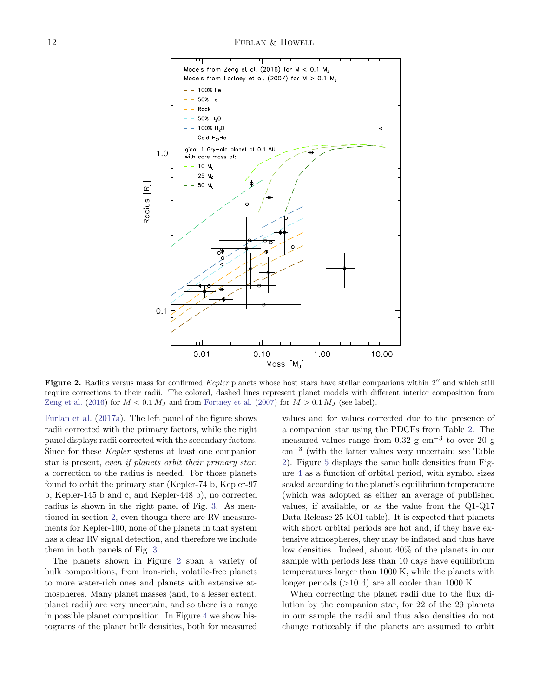

<span id="page-11-0"></span>Figure 2. Radius versus mass for confirmed Kepler planets whose host stars have stellar companions within 2" and which still require corrections to their radii. The colored, dashed lines represent planet models with different interior composition from [Zeng et al.](#page-17-3) [\(2016\)](#page-17-3) for  $M < 0.1 M_J$  and from [Fortney et al.](#page-16-2) [\(2007\)](#page-16-2) for  $M > 0.1 M_J$  (see label).

[Furlan et al.](#page-16-10) [\(2017a\)](#page-16-10). The left panel of the figure shows radii corrected with the primary factors, while the right panel displays radii corrected with the secondary factors. Since for these Kepler systems at least one companion star is present, even if planets orbit their primary star, a correction to the radius is needed. For those planets found to orbit the primary star (Kepler-74 b, Kepler-97 b, Kepler-145 b and c, and Kepler-448 b), no corrected radius is shown in the right panel of Fig. [3.](#page-12-0) As mentioned in section [2,](#page-2-0) even though there are RV measurements for Kepler-100, none of the planets in that system has a clear RV signal detection, and therefore we include them in both panels of Fig. [3.](#page-12-0)

The planets shown in Figure [2](#page-11-0) span a variety of bulk compositions, from iron-rich, volatile-free planets to more water-rich ones and planets with extensive atmospheres. Many planet masses (and, to a lesser extent, planet radii) are very uncertain, and so there is a range in possible planet composition. In Figure [4](#page-13-0) we show histograms of the planet bulk densities, both for measured values and for values corrected due to the presence of a companion star using the PDCFs from Table [2.](#page-8-0) The measured values range from 0.32 g cm<sup>−</sup><sup>3</sup> to over 20 g cm<sup>−</sup><sup>3</sup> (with the latter values very uncertain; see Table [2\)](#page-8-0). Figure [5](#page-13-1) displays the same bulk densities from Figure [4](#page-13-0) as a function of orbital period, with symbol sizes scaled according to the planet's equilibrium temperature (which was adopted as either an average of published values, if available, or as the value from the Q1-Q17 Data Release 25 KOI table). It is expected that planets with short orbital periods are hot and, if they have extensive atmospheres, they may be inflated and thus have low densities. Indeed, about 40% of the planets in our sample with periods less than 10 days have equilibrium temperatures larger than 1000 K, while the planets with longer periods  $(>10 d)$  are all cooler than 1000 K.

When correcting the planet radii due to the flux dilution by the companion star, for 22 of the 29 planets in our sample the radii and thus also densities do not change noticeably if the planets are assumed to orbit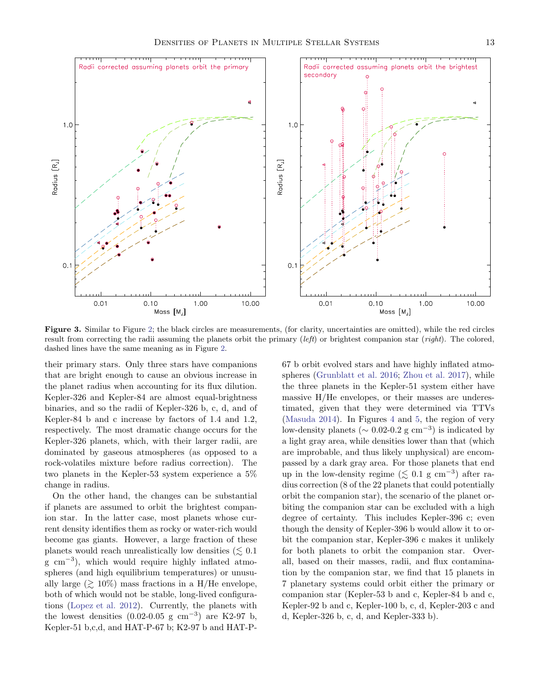

<span id="page-12-0"></span>Figure 3. Similar to Figure [2;](#page-11-0) the black circles are measurements, (for clarity, uncertainties are omitted), while the red circles result from correcting the radii assuming the planets orbit the primary (left) or brightest companion star (right). The colored, dashed lines have the same meaning as in Figure [2.](#page-11-0)

their primary stars. Only three stars have companions that are bright enough to cause an obvious increase in the planet radius when accounting for its flux dilution. Kepler-326 and Kepler-84 are almost equal-brightness binaries, and so the radii of Kepler-326 b, c, d, and of Kepler-84 b and c increase by factors of 1.4 and 1.2, respectively. The most dramatic change occurs for the Kepler-326 planets, which, with their larger radii, are dominated by gaseous atmospheres (as opposed to a rock-volatiles mixture before radius correction). The two planets in the Kepler-53 system experience a 5% change in radius.

On the other hand, the changes can be substantial if planets are assumed to orbit the brightest companion star. In the latter case, most planets whose current density identifies them as rocky or water-rich would become gas giants. However, a large fraction of these planets would reach unrealistically low densities  $(\leq 0.1)$ g cm<sup>−</sup><sup>3</sup> ), which would require highly inflated atmospheres (and high equilibrium temperatures) or unusually large  $(\geq 10\%)$  mass fractions in a H/He envelope, both of which would not be stable, long-lived configurations [\(Lopez et al. 2012\)](#page-17-40). Currently, the planets with the lowest densities  $(0.02-0.05 \text{ g cm}^{-3})$  are K2-97 b, Kepler-51 b,c,d, and HAT-P-67 b; K2-97 b and HAT-P-

67 b orbit evolved stars and have highly inflated atmospheres [\(Grunblatt et al. 2016;](#page-16-46) [Zhou et al. 2017](#page-17-41)), while the three planets in the Kepler-51 system either have massive H/He envelopes, or their masses are underestimated, given that they were determined via TTVs [\(Masuda 2014](#page-17-42)). In Figures [4](#page-13-0) and [5,](#page-13-1) the region of very low-density planets ( $\sim 0.02$ -0.2 g cm<sup>-3</sup>) is indicated by a light gray area, while densities lower than that (which are improbable, and thus likely unphysical) are encompassed by a dark gray area. For those planets that end up in the low-density regime ( $\lesssim 0.1$  g cm<sup>-3</sup>) after radius correction (8 of the 22 planets that could potentially orbit the companion star), the scenario of the planet orbiting the companion star can be excluded with a high degree of certainty. This includes Kepler-396 c; even though the density of Kepler-396 b would allow it to orbit the companion star, Kepler-396 c makes it unlikely for both planets to orbit the companion star. Overall, based on their masses, radii, and flux contamination by the companion star, we find that 15 planets in 7 planetary systems could orbit either the primary or companion star (Kepler-53 b and c, Kepler-84 b and c, Kepler-92 b and c, Kepler-100 b, c, d, Kepler-203 c and d, Kepler-326 b, c, d, and Kepler-333 b).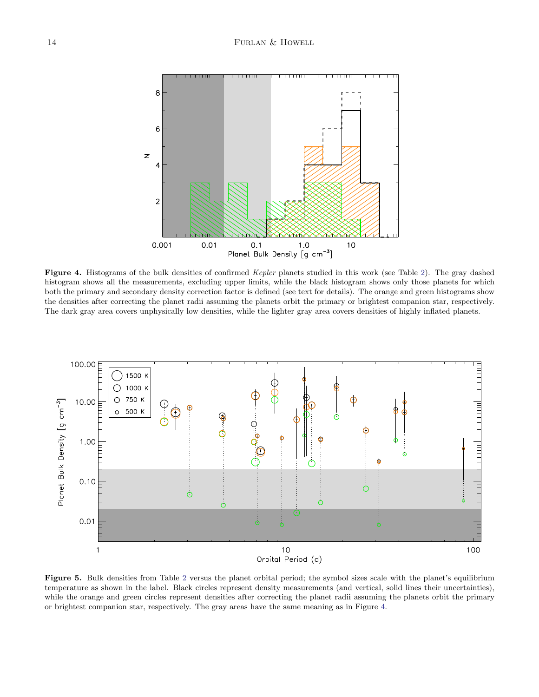

<span id="page-13-0"></span>Figure 4. Histograms of the bulk densities of confirmed Kepler planets studied in this work (see Table [2\)](#page-8-0). The gray dashed histogram shows all the measurements, excluding upper limits, while the black histogram shows only those planets for which both the primary and secondary density correction factor is defined (see text for details). The orange and green histograms show the densities after correcting the planet radii assuming the planets orbit the primary or brightest companion star, respectively. The dark gray area covers unphysically low densities, while the lighter gray area covers densities of highly inflated planets.



<span id="page-13-1"></span>Figure 5. Bulk densities from Table [2](#page-8-0) versus the planet orbital period; the symbol sizes scale with the planet's equilibrium temperature as shown in the label. Black circles represent density measurements (and vertical, solid lines their uncertainties), while the orange and green circles represent densities after correcting the planet radii assuming the planets orbit the primary or brightest companion star, respectively. The gray areas have the same meaning as in Figure [4.](#page-13-0)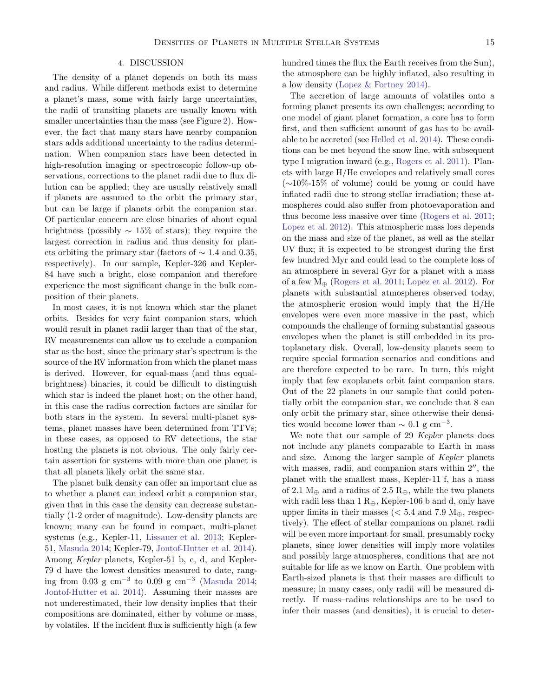## 4. DISCUSSION

<span id="page-14-0"></span>The density of a planet depends on both its mass and radius. While different methods exist to determine a planet's mass, some with fairly large uncertainties, the radii of transiting planets are usually known with smaller uncertainties than the mass (see Figure [2\)](#page-11-0). However, the fact that many stars have nearby companion stars adds additional uncertainty to the radius determination. When companion stars have been detected in high-resolution imaging or spectroscopic follow-up observations, corrections to the planet radii due to flux dilution can be applied; they are usually relatively small if planets are assumed to the orbit the primary star, but can be large if planets orbit the companion star. Of particular concern are close binaries of about equal brightness (possibly  $\sim 15\%$  of stars); they require the largest correction in radius and thus density for planets orbiting the primary star (factors of  $\sim$  1.4 and 0.35, respectively). In our sample, Kepler-326 and Kepler-84 have such a bright, close companion and therefore experience the most significant change in the bulk composition of their planets.

In most cases, it is not known which star the planet orbits. Besides for very faint companion stars, which would result in planet radii larger than that of the star, RV measurements can allow us to exclude a companion star as the host, since the primary star's spectrum is the source of the RV information from which the planet mass is derived. However, for equal-mass (and thus equalbrightness) binaries, it could be difficult to distinguish which star is indeed the planet host; on the other hand, in this case the radius correction factors are similar for both stars in the system. In several multi-planet systems, planet masses have been determined from TTVs; in these cases, as opposed to RV detections, the star hosting the planets is not obvious. The only fairly certain assertion for systems with more than one planet is that all planets likely orbit the same star.

The planet bulk density can offer an important clue as to whether a planet can indeed orbit a companion star, given that in this case the density can decrease substantially (1-2 order of magnitude). Low-density planets are known; many can be found in compact, multi-planet systems (e.g., Kepler-11, [Lissauer et al. 2013;](#page-16-47) Kepler-51, [Masuda 2014;](#page-17-42) Kepler-79, [Jontof-Hutter et al. 2014\)](#page-16-48). Among Kepler planets, Kepler-51 b, c, d, and Kepler-79 d have the lowest densities measured to date, rang-ing from 0.03 g cm<sup>-3</sup> to 0.09 g cm<sup>-3</sup> [\(Masuda 2014;](#page-17-42) [Jontof-Hutter et al. 2014\)](#page-16-48). Assuming their masses are not underestimated, their low density implies that their compositions are dominated, either by volume or mass, by volatiles. If the incident flux is sufficiently high (a few

hundred times the flux the Earth receives from the Sun), the atmosphere can be highly inflated, also resulting in a low density [\(Lopez & Fortney 2014\)](#page-17-39).

The accretion of large amounts of volatiles onto a forming planet presents its own challenges; according to one model of giant planet formation, a core has to form first, and then sufficient amount of gas has to be available to be accreted (see [Helled et al. 2014\)](#page-16-49). These conditions can be met beyond the snow line, with subsequent type I migration inward (e.g., [Rogers et al. 2011\)](#page-17-1). Planets with large H/He envelopes and relatively small cores (∼10%-15% of volume) could be young or could have inflated radii due to strong stellar irradiation; these atmospheres could also suffer from photoevaporation and thus become less massive over time [\(Rogers et al. 2011](#page-17-1); [Lopez et al. 2012\)](#page-17-40). This atmospheric mass loss depends on the mass and size of the planet, as well as the stellar UV flux; it is expected to be strongest during the first few hundred Myr and could lead to the complete loss of an atmosphere in several Gyr for a planet with a mass of a few  $M_{\oplus}$  [\(Rogers et al. 2011;](#page-17-1) [Lopez et al. 2012\)](#page-17-40). For planets with substantial atmospheres observed today, the atmospheric erosion would imply that the H/He envelopes were even more massive in the past, which compounds the challenge of forming substantial gaseous envelopes when the planet is still embedded in its protoplanetary disk. Overall, low-density planets seem to require special formation scenarios and conditions and are therefore expected to be rare. In turn, this might imply that few exoplanets orbit faint companion stars. Out of the 22 planets in our sample that could potentially orbit the companion star, we conclude that 8 can only orbit the primary star, since otherwise their densities would become lower than  $\sim 0.1$  g cm<sup>-3</sup>.

We note that our sample of 29 Kepler planets does not include any planets comparable to Earth in mass and size. Among the larger sample of Kepler planets with masses, radii, and companion stars within 2′′, the planet with the smallest mass, Kepler-11 f, has a mass of 2.1  $M_{\oplus}$  and a radius of 2.5  $R_{\oplus}$ , while the two planets with radii less than  $1 \text{ R}_{\oplus}$ , Kepler-106 b and d, only have upper limits in their masses ( $< 5.4$  and 7.9  $M_{\oplus}$ , respectively). The effect of stellar companions on planet radii will be even more important for small, presumably rocky planets, since lower densities will imply more volatiles and possibly large atmospheres, conditions that are not suitable for life as we know on Earth. One problem with Earth-sized planets is that their masses are difficult to measure; in many cases, only radii will be measured directly. If mass–radius relationships are to be used to infer their masses (and densities), it is crucial to deter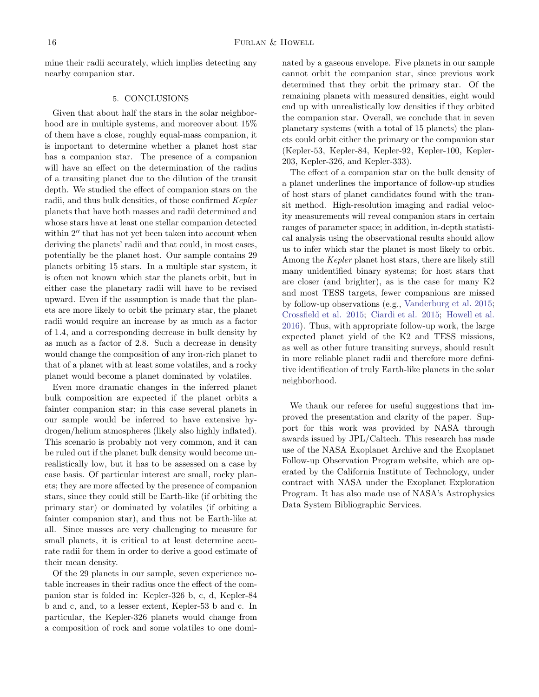<span id="page-15-0"></span>mine their radii accurately, which implies detecting any nearby companion star.

### 5. CONCLUSIONS

Given that about half the stars in the solar neighborhood are in multiple systems, and moreover about 15% of them have a close, roughly equal-mass companion, it is important to determine whether a planet host star has a companion star. The presence of a companion will have an effect on the determination of the radius of a transiting planet due to the dilution of the transit depth. We studied the effect of companion stars on the radii, and thus bulk densities, of those confirmed Kepler planets that have both masses and radii determined and whose stars have at least one stellar companion detected within 2" that has not yet been taken into account when deriving the planets' radii and that could, in most cases, potentially be the planet host. Our sample contains 29 planets orbiting 15 stars. In a multiple star system, it is often not known which star the planets orbit, but in either case the planetary radii will have to be revised upward. Even if the assumption is made that the planets are more likely to orbit the primary star, the planet radii would require an increase by as much as a factor of 1.4, and a corresponding decrease in bulk density by as much as a factor of 2.8. Such a decrease in density would change the composition of any iron-rich planet to that of a planet with at least some volatiles, and a rocky planet would become a planet dominated by volatiles.

Even more dramatic changes in the inferred planet bulk composition are expected if the planet orbits a fainter companion star; in this case several planets in our sample would be inferred to have extensive hydrogen/helium atmospheres (likely also highly inflated). This scenario is probably not very common, and it can be ruled out if the planet bulk density would become unrealistically low, but it has to be assessed on a case by case basis. Of particular interest are small, rocky planets; they are more affected by the presence of companion stars, since they could still be Earth-like (if orbiting the primary star) or dominated by volatiles (if orbiting a fainter companion star), and thus not be Earth-like at all. Since masses are very challenging to measure for small planets, it is critical to at least determine accurate radii for them in order to derive a good estimate of their mean density.

Of the 29 planets in our sample, seven experience notable increases in their radius once the effect of the companion star is folded in: Kepler-326 b, c, d, Kepler-84 b and c, and, to a lesser extent, Kepler-53 b and c. In particular, the Kepler-326 planets would change from a composition of rock and some volatiles to one dominated by a gaseous envelope. Five planets in our sample cannot orbit the companion star, since previous work determined that they orbit the primary star. Of the remaining planets with measured densities, eight would end up with unrealistically low densities if they orbited the companion star. Overall, we conclude that in seven planetary systems (with a total of 15 planets) the planets could orbit either the primary or the companion star (Kepler-53, Kepler-84, Kepler-92, Kepler-100, Kepler-203, Kepler-326, and Kepler-333).

The effect of a companion star on the bulk density of a planet underlines the importance of follow-up studies of host stars of planet candidates found with the transit method. High-resolution imaging and radial velocity measurements will reveal companion stars in certain ranges of parameter space; in addition, in-depth statistical analysis using the observational results should allow us to infer which star the planet is most likely to orbit. Among the Kepler planet host stars, there are likely still many unidentified binary systems; for host stars that are closer (and brighter), as is the case for many K2 and most TESS targets, fewer companions are missed by follow-up observations (e.g., [Vanderburg et al. 2015](#page-17-43); [Crossfield et al. 2015;](#page-16-50) [Ciardi et al. 2015;](#page-16-20) [Howell et al.](#page-16-8) [2016\)](#page-16-8). Thus, with appropriate follow-up work, the large expected planet yield of the K2 and TESS missions, as well as other future transiting surveys, should result in more reliable planet radii and therefore more definitive identification of truly Earth-like planets in the solar neighborhood.

We thank our referee for useful suggestions that improved the presentation and clarity of the paper. Support for this work was provided by NASA through awards issued by JPL/Caltech. This research has made use of the NASA Exoplanet Archive and the Exoplanet Follow-up Observation Program website, which are operated by the California Institute of Technology, under contract with NASA under the Exoplanet Exploration Program. It has also made use of NASA's Astrophysics Data System Bibliographic Services.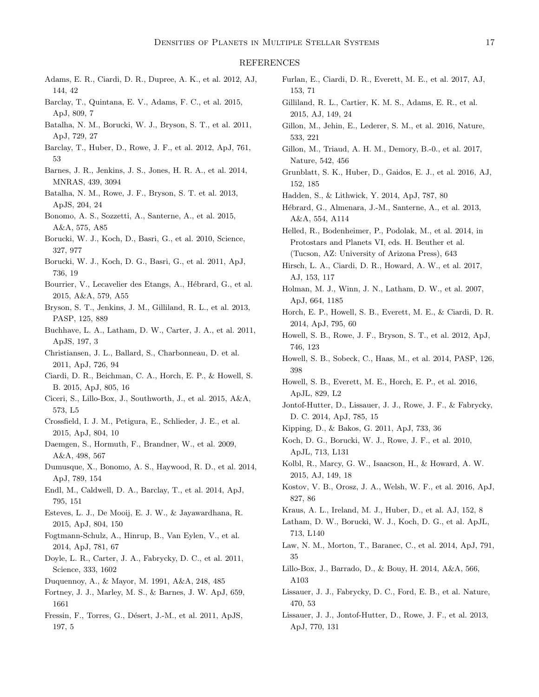### <span id="page-16-37"></span><span id="page-16-36"></span><span id="page-16-35"></span><span id="page-16-34"></span><span id="page-16-33"></span>REFERENCES

- <span id="page-16-57"></span>Adams, E. R., Ciardi, D. R., Dupree, A. K., et al. 2012, AJ, 144, 42
- <span id="page-16-17"></span>Barclay, T., Quintana, E. V., Adams, F. C., et al. 2015, ApJ, 809, 7
- Batalha, N. M., Borucki, W. J., Bryson, S. T., et al. 2011, ApJ, 729, 27
- Barclay, T., Huber, D., Rowe, J. F., et al. 2012, ApJ, 761, 53
- <span id="page-16-9"></span>Barnes, J. R., Jenkins, J. S., Jones, H. R. A., et al. 2014, MNRAS, 439, 3094
- Batalha, N. M., Rowe, J. F., Bryson, S. T. et al. 2013, ApJS, 204, 24
- <span id="page-16-52"></span>Bonomo, A. S., Sozzetti, A., Santerne, A., et al. 2015, A&A, 575, A85
- <span id="page-16-0"></span>Borucki, W. J., Koch, D., Basri, G., et al. 2010, Science, 327, 977
- Borucki, W. J., Koch, D. G., Basri, G., et al. 2011, ApJ, 736, 19
- <span id="page-16-54"></span><span id="page-16-45"></span><span id="page-16-44"></span>Bourrier, V., Lecavelier des Etangs, A., Hébrard, G., et al. 2015, A&A, 579, A55
- <span id="page-16-15"></span>Bryson, S. T., Jenkins, J. M., Gilliland, R. L., et al. 2013, PASP, 125, 889
- <span id="page-16-22"></span>Buchhave, L. A., Latham, D. W., Carter, J. A., et al. 2011, ApJS, 197, 3
- Christiansen, J. L., Ballard, S., Charbonneau, D. et al. 2011, ApJ, 726, 94
- <span id="page-16-20"></span>Ciardi, D. R., Beichman, C. A., Horch, E. P., & Howell, S. B. 2015, ApJ, 805, 16
- <span id="page-16-60"></span>Ciceri, S., Lillo-Box, J., Southworth, J., et al. 2015, A&A, 573, L5
- <span id="page-16-50"></span>Crossfield, I. J. M., Petigura, E., Schlieder, J. E., et al. 2015, ApJ, 804, 10
- Daemgen, S., Hormuth, F., Brandner, W., et al. 2009, A&A, 498, 567
- <span id="page-16-58"></span>Dumusque, X., Bonomo, A. S., Haywood, R. D., et al. 2014, ApJ, 789, 154
- <span id="page-16-59"></span>Endl, M., Caldwell, D. A., Barclay, T., et al. 2014, ApJ, 795, 151
- <span id="page-16-21"></span>Esteves, L. J., De Mooij, E. J. W., & Jayawardhana, R. 2015, ApJ, 804, 150
- Fogtmann-Schulz, A., Hinrup, B., Van Eylen, V., et al. 2014, ApJ, 781, 67
- <span id="page-16-18"></span>Doyle, L. R., Carter, J. A., Fabrycky, D. C., et al. 2011, Science, 333, 1602
- <span id="page-16-12"></span>Duquennoy, A., & Mayor, M. 1991, A&A, 248, 485
- <span id="page-16-2"></span>Fortney, J. J., Marley, M. S., & Barnes, J. W. ApJ, 659, 1661
- Fressin, F., Torres, G., Désert, J.-M., et al. 2011, ApJS, 197, 5
- <span id="page-16-32"></span><span id="page-16-31"></span><span id="page-16-30"></span><span id="page-16-29"></span><span id="page-16-28"></span><span id="page-16-27"></span><span id="page-16-26"></span><span id="page-16-10"></span>Furlan, E., Ciardi, D. R., Everett, M. E., et al. 2017, AJ, 153, 71
- <span id="page-16-24"></span>Gilliland, R. L., Cartier, K. M. S., Adams, E. R., et al. 2015, AJ, 149, 24
- <span id="page-16-6"></span>Gillon, M., Jehin, E., Lederer, S. M., et al. 2016, Nature, 533, 221
- <span id="page-16-7"></span>Gillon, M., Triaud, A. H. M., Demory, B.-0., et al. 2017, Nature, 542, 456
- <span id="page-16-46"></span>Grunblatt, S. K., Huber, D., Gaidos, E. J., et al. 2016, AJ, 152, 185
- <span id="page-16-3"></span>Hadden, S., & Lithwick, Y. 2014, ApJ, 787, 80
- <span id="page-16-51"></span>Hébrard, G., Almenara, J.-M., Santerne, A., et al. 2013, A&A, 554, A114
- <span id="page-16-49"></span>Helled, R., Bodenheimer, P., Podolak, M., et al. 2014, in Protostars and Planets VI, eds. H. Beuther et al. (Tucson, AZ: University of Arizona Press), 643
- <span id="page-16-43"></span><span id="page-16-42"></span><span id="page-16-41"></span><span id="page-16-5"></span>Hirsch, L. A., Ciardi, D. R., Howard, A. W., et al. 2017, AJ, 153, 117
- <span id="page-16-40"></span><span id="page-16-39"></span><span id="page-16-38"></span><span id="page-16-25"></span>Holman, M. J., Winn, J. N., Latham, D. W., et al. 2007, ApJ, 664, 1185
- <span id="page-16-4"></span>Horch, E. P., Howell, S. B., Everett, M. E., & Ciardi, D. R. 2014, ApJ, 795, 60
- <span id="page-16-16"></span>Howell, S. B., Rowe, J. F., Bryson, S. T., et al. 2012, ApJ, 746, 123
- <span id="page-16-1"></span>Howell, S. B., Sobeck, C., Haas, M., et al. 2014, PASP, 126, 398
- <span id="page-16-8"></span>Howell, S. B., Everett, M. E., Horch, E. P., et al. 2016, ApJL, 829, L2
- <span id="page-16-48"></span>Jontof-Hutter, D., Lissauer, J. J., Rowe, J. F., & Fabrycky, D. C. 2014, ApJ, 785, 15
- Kipping, D., & Bakos, G. 2011, ApJ, 733, 36
- <span id="page-16-56"></span>Koch, D. G., Borucki, W. J., Rowe, J. F., et al. 2010, ApJL, 713, L131
- <span id="page-16-11"></span>Kolbl, R., Marcy, G. W., Isaacson, H., & Howard, A. W. 2015, AJ, 149, 18
- <span id="page-16-19"></span>Kostov, V. B., Orosz, J. A., Welsh, W. F., et al. 2016, ApJ, 827, 86
- <span id="page-16-13"></span>Kraus, A. L., Ireland, M. J., Huber, D., et al. AJ, 152, 8
- <span id="page-16-14"></span>Latham, D. W., Borucki, W. J., Koch, D. G., et al. ApJL, 713, L140
- <span id="page-16-55"></span>Law, N. M., Morton, T., Baranec, C., et al. 2014, ApJ, 791, 35
- <span id="page-16-53"></span>Lillo-Box, J., Barrado, D., & Bouy, H. 2014, A&A, 566, A103
- <span id="page-16-23"></span>Lissauer, J. J., Fabrycky, D. C., Ford, E. B., et al. Nature, 470, 53
- <span id="page-16-47"></span>Lissauer, J. J., Jontof-Hutter, D., Rowe, J. F., et al. 2013, ApJ, 770, 131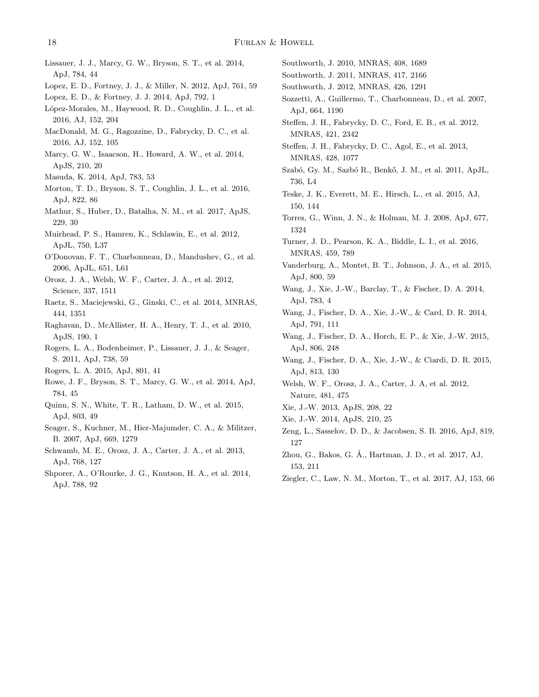- <span id="page-17-47"></span>Lissauer, J. J., Marcy, G. W., Bryson, S. T., et al. 2014, ApJ, 784, 44
- <span id="page-17-40"></span>Lopez, E. D., Fortney, J. J., & Miller, N. 2012, ApJ, 761, 59
- <span id="page-17-39"></span>Lopez, E. D., & Fortney, J. J. 2014, ApJ, 792, 1
- <span id="page-17-53"></span>López-Morales, M., Haywood, R. D., Coughlin, J. L., et al. 2016, AJ, 152, 204
- <span id="page-17-48"></span>MacDonald, M. G., Ragozzine, D., Fabrycky, D. C., et al. 2016, AJ, 152, 105
- <span id="page-17-4"></span>Marcy, G. W., Isaacson, H., Howard, A. W., et al. 2014, ApJS, 210, 20
- <span id="page-17-42"></span>Masuda, K. 2014, ApJ, 783, 53
- <span id="page-17-16"></span>Morton, T. D., Bryson, S. T., Coughlin, J. L., et al. 2016, ApJ, 822, 86
- <span id="page-17-7"></span>Mathur, S., Huber, D., Batalha, N. M., et al. 2017, ApJS, 229, 30
- Muirhead, P. S., Hamren, K., Schlawin, E., et al. 2012, ApJL, 750, L37
- <span id="page-17-50"></span>O'Donovan, F. T., Charbonneau, D., Mandushev, G., et al. 2006, ApJL, 651, L61
- <span id="page-17-13"></span>Orosz, J. A., Welsh, W. F., Carter, J. A., et al. 2012, Science, 337, 1511
- Raetz, S., Maciejewski, G., Ginski, C., et al. 2014, MNRAS, 444, 1351
- <span id="page-17-6"></span>Raghavan, D., McAllister, H. A., Henry, T. J., et al. 2010, ApJS, 190, 1
- <span id="page-17-1"></span>Rogers, L. A., Bodenheimer, P., Lissauer, J. J., & Seager, S. 2011, ApJ, 738, 59
- <span id="page-17-2"></span>Rogers, L. A. 2015, ApJ, 801, 41
- <span id="page-17-15"></span>Rowe, J. F., Bryson, S. T., Marcy, G. W., et al. 2014, ApJ, 784, 45
- <span id="page-17-54"></span>Quinn, S. N., White, T. R., Latham, D. W., et al. 2015, ApJ, 803, 49
- <span id="page-17-0"></span>Seager, S., Kuchner, M., Hier-Majumder, C. A., & Militzer, B. 2007, ApJ, 669, 1279
- <span id="page-17-14"></span>Schwamb, M. E., Orosz, J. A., Carter, J. A., et al. 2013, ApJ, 768, 127
- <span id="page-17-18"></span>Shporer, A., O'Rourke, J. G., Knutson, H. A., et al. 2014, ApJ, 788, 92
- <span id="page-17-52"></span><span id="page-17-35"></span><span id="page-17-34"></span><span id="page-17-26"></span><span id="page-17-25"></span><span id="page-17-24"></span><span id="page-17-23"></span><span id="page-17-22"></span><span id="page-17-21"></span><span id="page-17-20"></span>Southworth, J. 2010, MNRAS, 408, 1689
- <span id="page-17-51"></span>Southworth, J. 2011, MNRAS, 417, 2166
- <span id="page-17-19"></span>Southworth, J. 2012, MNRAS, 426, 1291
- Sozzetti, A., Guillermo, T., Charbonneau, D., et al. 2007, ApJ, 664, 1190
- <span id="page-17-44"></span>Steffen, J. H., Fabrycky, D. C., Ford, E. B., et al. 2012, MNRAS, 421, 2342
- Steffen, J. H., Fabrycky, D. C., Agol, E., et al. 2013, MNRAS, 428, 1077
- <span id="page-17-17"></span>Szabó, Gy. M., Sazbó R., Benkő, J. M., et al. 2011, ApJL, 736, L4
- <span id="page-17-5"></span>Teske, J. K., Everett, M. E., Hirsch, L., et al. 2015, AJ, 150, 144
- Torres, G., Winn, J. N., & Holman, M. J. 2008, ApJ, 677, 1324
- Turner, J. D., Pearson, K. A., Biddle, L. I., et al. 2016, MNRAS, 459, 789
- <span id="page-17-43"></span><span id="page-17-38"></span><span id="page-17-33"></span>Vanderburg, A., Montet, B. T., Johnson, J. A., et al. 2015, ApJ, 800, 59
- <span id="page-17-37"></span><span id="page-17-36"></span><span id="page-17-32"></span><span id="page-17-31"></span><span id="page-17-30"></span><span id="page-17-29"></span><span id="page-17-28"></span><span id="page-17-27"></span><span id="page-17-8"></span>Wang, J., Xie, J.-W., Barclay, T., & Fischer, D. A. 2014, ApJ, 783, 4
- <span id="page-17-9"></span>Wang, J., Fischer, D. A., Xie, J.-W., & Card, D. R. 2014, ApJ, 791, 111
- <span id="page-17-10"></span>Wang, J., Fischer, D. A., Horch, E. P., & Xie, J.-W. 2015, ApJ, 806, 248
- <span id="page-17-11"></span>Wang, J., Fischer, D. A., Xie, J.-W., & Ciardi, D. R. 2015, ApJ, 813, 130
- <span id="page-17-12"></span>Welsh, W. F., Orosz, J. A., Carter, J. A, et al. 2012, Nature, 481, 475
- <span id="page-17-46"></span>Xie, J.-W. 2013, ApJS, 208, 22
- <span id="page-17-49"></span>Xie, J.-W. 2014, ApJS, 210, 25
- <span id="page-17-3"></span>Zeng, L., Sasselov, D. D., & Jacobsen, S. B. 2016, ApJ, 819, 127
- <span id="page-17-41"></span>Zhou, G., Bakos, G. A., Hartman, J. D., et al. 2017, AJ, ´ 153, 211
- <span id="page-17-45"></span>Ziegler, C., Law, N. M., Morton, T., et al. 2017, AJ, 153, 66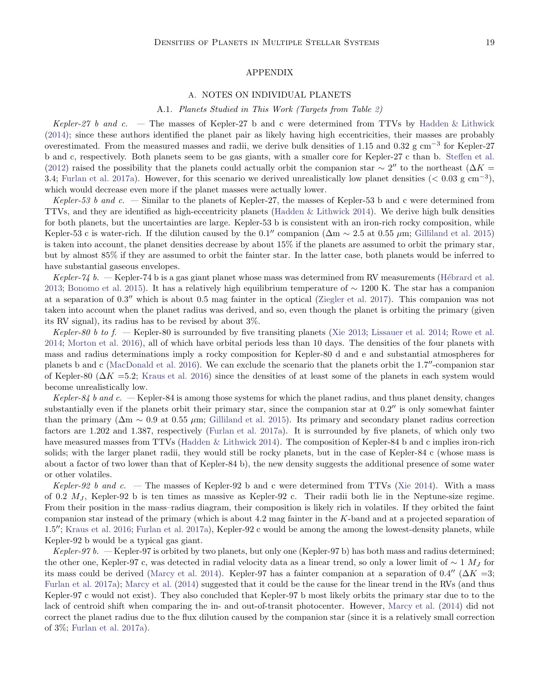## APPENDIX

#### A. NOTES ON INDIVIDUAL PLANETS

#### A.1. Planets Studied in This Work (Targets from Table [2\)](#page-8-0)

Kepler-27 b and c. — The masses of Kepler-27 b and c were determined from TTVs by [Hadden & Lithwick](#page-16-3) [\(2014\)](#page-16-3); since these authors identified the planet pair as likely having high eccentricities, their masses are probably overestimated. From the measured masses and radii, we derive bulk densities of 1.15 and 0.32 g cm−<sup>3</sup> for Kepler-27 b and c, respectively. Both planets seem to be gas giants, with a smaller core for Kepler-27 c than b. [Steffen et al.](#page-17-44) [\(2012\)](#page-17-44) raised the possibility that the planets could actually orbit the companion star  $\sim 2''$  to the northeast ( $\Delta K =$ 3.4; [Furlan et al. 2017a\)](#page-16-10). However, for this scenario we derived unrealistically low planet densities  $(< 0.03 \text{ g cm}^{-3})$ , which would decrease even more if the planet masses were actually lower.

Kepler-53 b and c. — Similar to the planets of Kepler-27, the masses of Kepler-53 b and c were determined from TTVs, and they are identified as high-eccentricity planets [\(Hadden & Lithwick 2014\)](#page-16-3). We derive high bulk densities for both planets, but the uncertainties are large. Kepler-53 b is consistent with an iron-rich rocky composition, while Kepler-53 c is water-rich. If the dilution caused by the 0.1″ companion ( $\Delta m \sim 2.5$  at 0.55 µm; [Gilliland et al. 2015](#page-16-24)) is taken into account, the planet densities decrease by about 15% if the planets are assumed to orbit the primary star, but by almost 85% if they are assumed to orbit the fainter star. In the latter case, both planets would be inferred to have substantial gaseous envelopes.

Kepler-74 b.  $-$  Kepler-74 b is a gas giant planet whose mass was determined from RV measurements (Hébrard et al. [2013;](#page-16-51) [Bonomo et al. 2015\)](#page-16-52). It has a relatively high equilibrium temperature of ∼ 1200 K. The star has a companion at a separation of 0.3′′ which is about 0.5 mag fainter in the optical [\(Ziegler et al. 2017\)](#page-17-45). This companion was not taken into account when the planet radius was derived, and so, even though the planet is orbiting the primary (given its RV signal), its radius has to be revised by about 3%.

Kepler-80 b to f. — Kepler-80 is surrounded by five transiting planets [\(Xie 2013;](#page-17-46) [Lissauer et al. 2014;](#page-17-47) [Rowe et al.](#page-17-15) [2014;](#page-17-15) [Morton et al. 2016\)](#page-17-16), all of which have orbital periods less than 10 days. The densities of the four planets with mass and radius determinations imply a rocky composition for Kepler-80 d and e and substantial atmospheres for planets b and c [\(MacDonald et al. 2016\)](#page-17-48). We can exclude the scenario that the planets orbit the 1.7′′-companion star of Kepler-80 ( $\Delta K = 5.2$ ; [Kraus et al. 2016\)](#page-16-13) since the densities of at least some of the planets in each system would become unrealistically low.

Kepler-84 b and c.  $-$  Kepler-84 is among those systems for which the planet radius, and thus planet density, changes substantially even if the planets orbit their primary star, since the companion star at  $0.2$ <sup>"</sup> is only somewhat fainter than the primary ( $\Delta m \sim 0.9$  at 0.55  $\mu$ m; [Gilliland et al. 2015\)](#page-16-24). Its primary and secondary planet radius correction factors are 1.202 and 1.387, respectively [\(Furlan et al. 2017a\)](#page-16-10). It is surrounded by five planets, of which only two have measured masses from TTVs [\(Hadden & Lithwick 2014](#page-16-3)). The composition of Kepler-84 b and c implies iron-rich solids; with the larger planet radii, they would still be rocky planets, but in the case of Kepler-84 c (whose mass is about a factor of two lower than that of Kepler-84 b), the new density suggests the additional presence of some water or other volatiles.

Kepler-92 b and c. — The masses of Kepler-92 b and c were determined from TTVs [\(Xie 2014](#page-17-49)). With a mass of 0.2  $M_J$ , Kepler-92 b is ten times as massive as Kepler-92 c. Their radii both lie in the Neptune-size regime. From their position in the mass–radius diagram, their composition is likely rich in volatiles. If they orbited the faint companion star instead of the primary (which is about 4.2 mag fainter in the  $K$ -band and at a projected separation of 1.5′′; [Kraus et al. 2016;](#page-16-13) [Furlan et al. 2017a\)](#page-16-10), Kepler-92 c would be among the among the lowest-density planets, while Kepler-92 b would be a typical gas giant.

Kepler-97 b.  $-$  Kepler-97 is orbited by two planets, but only one (Kepler-97 b) has both mass and radius determined; the other one, Kepler-97 c, was detected in radial velocity data as a linear trend, so only a lower limit of  $\sim 1$  M<sub>J</sub> for its mass could be derived [\(Marcy et al. 2014\)](#page-17-4). Kepler-97 has a fainter companion at a separation of 0.4″ ( $\Delta K = 3$ ; [Furlan et al. 2017a\)](#page-16-10); [Marcy et al.](#page-17-4) [\(2014](#page-17-4)) suggested that it could be the cause for the linear trend in the RVs (and thus Kepler-97 c would not exist). They also concluded that Kepler-97 b most likely orbits the primary star due to to the lack of centroid shift when comparing the in- and out-of-transit photocenter. However, [Marcy et al.](#page-17-4) [\(2014](#page-17-4)) did not correct the planet radius due to the flux dilution caused by the companion star (since it is a relatively small correction of 3%; [Furlan et al. 2017a\)](#page-16-10).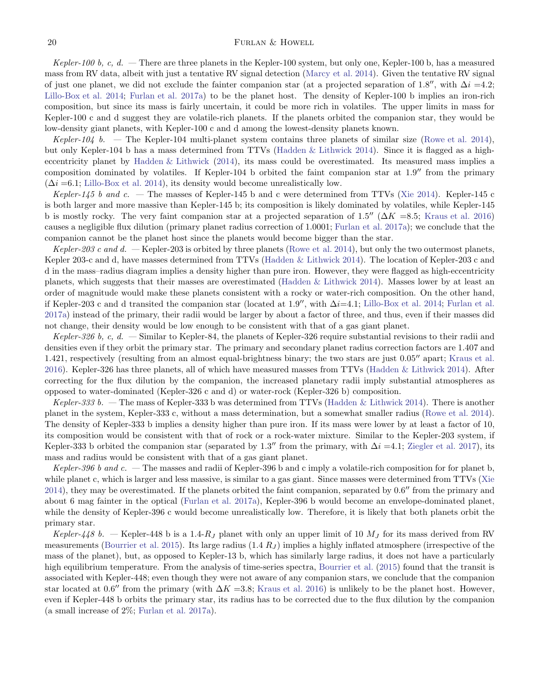# 20 FURLAN & HOWELL

Kepler-100 b, c, d.  $-$  There are three planets in the Kepler-100 system, but only one, Kepler-100 b, has a measured mass from RV data, albeit with just a tentative RV signal detection [\(Marcy et al. 2014\)](#page-17-4). Given the tentative RV signal of just one planet, we did not exclude the fainter companion star (at a projected separation of 1.8″, with  $\Delta i = 4.2$ ; [Lillo-Box et al. 2014;](#page-16-53) [Furlan et al. 2017a\)](#page-16-10) to be the planet host. The density of Kepler-100 b implies an iron-rich composition, but since its mass is fairly uncertain, it could be more rich in volatiles. The upper limits in mass for Kepler-100 c and d suggest they are volatile-rich planets. If the planets orbited the companion star, they would be low-density giant planets, with Kepler-100 c and d among the lowest-density planets known.

Kepler-104 b. — The Kepler-104 multi-planet system contains three planets of similar size [\(Rowe et al. 2014](#page-17-15)), but only Kepler-104 b has a mass determined from TTVs [\(Hadden & Lithwick 2014\)](#page-16-3). Since it is flagged as a higheccentricity planet by [Hadden & Lithwick](#page-16-3) [\(2014](#page-16-3)), its mass could be overestimated. Its measured mass implies a composition dominated by volatiles. If Kepler-104 b orbited the faint companion star at 1.9′′ from the primary  $(\Delta i = 6.1;$  [Lillo-Box et al. 2014](#page-16-53)), its density would become unrealistically low.

Kepler-145 b and c. — The masses of Kepler-145 b and c were determined from TTVs [\(Xie 2014](#page-17-49)). Kepler-145 c is both larger and more massive than Kepler-145 b; its composition is likely dominated by volatiles, while Kepler-145 b is mostly rocky. The very faint companion star at a projected separation of 1.5″ ( $\Delta K = 8.5$ ; [Kraus et al. 2016](#page-16-13)) causes a negligible flux dilution (primary planet radius correction of 1.0001; [Furlan et al. 2017a\)](#page-16-10); we conclude that the companion cannot be the planet host since the planets would become bigger than the star.

Kepler-203 c and d.  $-$  Kepler-203 is orbited by three planets [\(Rowe et al. 2014\)](#page-17-15), but only the two outermost planets, Kepler 203-c and d, have masses determined from TTVs [\(Hadden & Lithwick 2014](#page-16-3)). The location of Kepler-203 c and d in the mass–radius diagram implies a density higher than pure iron. However, they were flagged as high-eccentricity planets, which suggests that their masses are overestimated [\(Hadden & Lithwick 2014\)](#page-16-3). Masses lower by at least an order of magnitude would make these planets consistent with a rocky or water-rich composition. On the other hand, if Kepler-203 c and d transited the companion star (located at 1.9″, with  $\Delta i=4.1$ ; [Lillo-Box et al. 2014;](#page-16-53) [Furlan et al.](#page-16-10) [2017a\)](#page-16-10) instead of the primary, their radii would be larger by about a factor of three, and thus, even if their masses did not change, their density would be low enough to be consistent with that of a gas giant planet.

Kepler-326 b, c, d. — Similar to Kepler-84, the planets of Kepler-326 require substantial revisions to their radii and densities even if they orbit the primary star. The primary and secondary planet radius correction factors are 1.407 and 1.421, respectively (resulting from an almost equal-brightness binary; the two stars are just 0.05′′ apart; [Kraus et al.](#page-16-13) [2016\)](#page-16-13). Kepler-326 has three planets, all of which have measured masses from TTVs [\(Hadden & Lithwick 2014](#page-16-3)). After correcting for the flux dilution by the companion, the increased planetary radii imply substantial atmospheres as opposed to water-dominated (Kepler-326 c and d) or water-rock (Kepler-326 b) composition.

Kepler-333 b. — The mass of Kepler-333 b was determined from TTVs [\(Hadden & Lithwick 2014\)](#page-16-3). There is another planet in the system, Kepler-333 c, without a mass determination, but a somewhat smaller radius [\(Rowe et al. 2014](#page-17-15)). The density of Kepler-333 b implies a density higher than pure iron. If its mass were lower by at least a factor of 10, its composition would be consistent with that of rock or a rock-water mixture. Similar to the Kepler-203 system, if Kepler-333 b orbited the companion star (separated by 1.3″ from the primary, with  $\Delta i = 4.1$ ; [Ziegler et al. 2017](#page-17-45)), its mass and radius would be consistent with that of a gas giant planet.

Kepler-396 b and c. — The masses and radii of Kepler-396 b and c imply a volatile-rich composition for for planet b, while planet c, which is larger and less massive, is similar to a gas giant. Since masses were determined from TTVs [\(Xie](#page-17-49) [2014\)](#page-17-49), they may be overestimated. If the planets orbited the faint companion, separated by 0.6′′ from the primary and about 6 mag fainter in the optical [\(Furlan et al. 2017a\)](#page-16-10), Kepler-396 b would become an envelope-dominated planet, while the density of Kepler-396 c would become unrealistically low. Therefore, it is likely that both planets orbit the primary star.

Kepler-448 b. — Kepler-448 b is a 1.4-R<sub>J</sub> planet with only an upper limit of 10  $M<sub>J</sub>$  for its mass derived from RV measurements [\(Bourrier et al. 2015\)](#page-16-54). Its large radius  $(1.4 R_J)$  implies a highly inflated atmosphere (irrespective of the mass of the planet), but, as opposed to Kepler-13 b, which has similarly large radius, it does not have a particularly high equilibrium temperature. From the analysis of time-series spectra, [Bourrier et al.](#page-16-54) [\(2015](#page-16-54)) found that the transit is associated with Kepler-448; even though they were not aware of any companion stars, we conclude that the companion star located at 0.6″ from the primary (with  $\Delta K = 3.8$ ; [Kraus et al. 2016\)](#page-16-13) is unlikely to be the planet host. However, even if Kepler-448 b orbits the primary star, its radius has to be corrected due to the flux dilution by the companion (a small increase of 2%; [Furlan et al. 2017a\)](#page-16-10).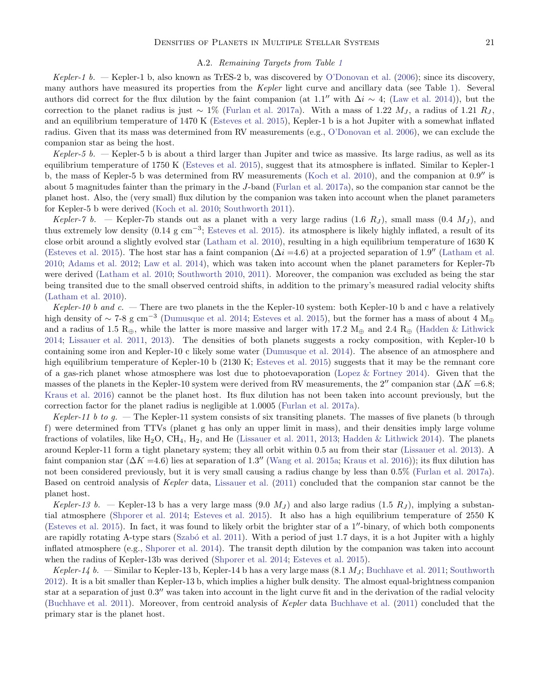## A.2. Remaining Targets from Table [1](#page-5-0)

Kepler-1 b. — Kepler-1 b, also known as TrES-2 b, was discovered by [O'Donovan et al.](#page-17-50) [\(2006\)](#page-17-50); since its discovery, many authors have measured its properties from the Kepler light curve and ancillary data (see Table [1\)](#page-5-0). Several authors did correct for the flux dilution by the faint companion (at 1.1″ with  $\Delta i \sim 4$ ; [\(Law et al. 2014](#page-16-55))), but the correction to the planet radius is just ~ 1% [\(Furlan et al. 2017a\)](#page-16-10). With a mass of 1.22  $M_J$ , a radius of 1.21  $R_J$ , and an equilibrium temperature of 1470 K [\(Esteves et al. 2015](#page-16-21)), Kepler-1 b is a hot Jupiter with a somewhat inflated radius. Given that its mass was determined from RV measurements (e.g., [O'Donovan et al. 2006](#page-17-50)), we can exclude the companion star as being the host.

Kepler-5 b.  $-$  Kepler-5 b is about a third larger than Jupiter and twice as massive. Its large radius, as well as its equilibrium temperature of 1750 K [\(Esteves et al. 2015\)](#page-16-21), suggest that its atmosphere is inflated. Similar to Kepler-1 b, the mass of Kepler-5 b was determined from RV measurements [\(Koch et al. 2010](#page-16-56)), and the companion at 0.9′′ is about 5 magnitudes fainter than the primary in the  $J$ -band [\(Furlan et al. 2017a\)](#page-16-10), so the companion star cannot be the planet host. Also, the (very small) flux dilution by the companion was taken into account when the planet parameters for Kepler-5 b were derived [\(Koch et al. 2010;](#page-16-56) [Southworth 2011](#page-17-51)).

Kepler-7 b. – Kepler-7b stands out as a planet with a very large radius (1.6  $R_J$ ), small mass (0.4  $M_J$ ), and thus extremely low density (0.14 g cm−<sup>3</sup> ; [Esteves et al. 2015](#page-16-21)). its atmosphere is likely highly inflated, a result of its close orbit around a slightly evolved star [\(Latham et al. 2010\)](#page-16-14), resulting in a high equilibrium temperature of 1630 K [\(Esteves et al. 2015\)](#page-16-21). The host star has a faint companion  $(\Delta i = 4.6)$  at a projected separation of 1.9″ [\(Latham et al.](#page-16-14) [2010;](#page-16-14) [Adams et al. 2012;](#page-16-57) [Law et al. 2014\)](#page-16-55), which was taken into account when the planet parameters for Kepler-7b were derived [\(Latham et al. 2010;](#page-16-14) [Southworth 2010,](#page-17-52) [2011\)](#page-17-51). Moreover, the companion was excluded as being the star being transited due to the small observed centroid shifts, in addition to the primary's measured radial velocity shifts [\(Latham et al. 2010](#page-16-14)).

Kepler-10 b and c. — There are two planets in the the Kepler-10 system: both Kepler-10 b and c have a relatively high density of ~ 7-8 g cm<sup>−3</sup> [\(Dumusque et al. 2014](#page-16-58); [Esteves et al. 2015\)](#page-16-21), but the former has a mass of about 4  $M_{\oplus}$ and a radius of 1.5 R⊕, while the latter is more massive and larger with 17.2 M⊕ and 2.4 R⊕ [\(Hadden & Lithwick](#page-16-3) [2014;](#page-16-3) [Lissauer et al. 2011,](#page-16-23) [2013\)](#page-16-47). The densities of both planets suggests a rocky composition, with Kepler-10 b containing some iron and Kepler-10 c likely some water [\(Dumusque et al. 2014](#page-16-58)). The absence of an atmosphere and high equilibrium temperature of Kepler-10 b (2130 K; [Esteves et al. 2015\)](#page-16-21) suggests that it may be the remnant core of a gas-rich planet whose atmosphere was lost due to photoevaporation [\(Lopez & Fortney 2014\)](#page-17-39). Given that the masses of the planets in the Kepler-10 system were derived from RV measurements, the 2″ companion star ( $\Delta K$  =6.8; [Kraus et al. 2016](#page-16-13)) cannot be the planet host. Its flux dilution has not been taken into account previously, but the correction factor for the planet radius is negligible at 1.0005 [\(Furlan et al. 2017a](#page-16-10)).

Kepler-11 b to g.  $-$  The Kepler-11 system consists of six transiting planets. The masses of five planets (b through f) were determined from TTVs (planet g has only an upper limit in mass), and their densities imply large volume fractions of volatiles, like H<sub>2</sub>O, CH<sub>4</sub>, H<sub>2</sub>, and He [\(Lissauer et al. 2011](#page-16-23), [2013;](#page-16-47) [Hadden & Lithwick 2014\)](#page-16-3). The planets around Kepler-11 form a tight planetary system; they all orbit within 0.5 au from their star [\(Lissauer et al. 2013\)](#page-16-47). A faint companion star ( $\Delta K = 4.6$ ) lies at separation of 1.3″ [\(Wang et al. 2015a;](#page-17-10) [Kraus et al. 2016\)](#page-16-13)); its flux dilution has not been considered previously, but it is very small causing a radius change by less than 0.5% [\(Furlan et al. 2017a\)](#page-16-10). Based on centroid analysis of Kepler data, [Lissauer et al.](#page-16-23) [\(2011](#page-16-23)) concluded that the companion star cannot be the planet host.

Kepler-13 b. — Kepler-13 b has a very large mass  $(9.0 \ M_J)$  and also large radius  $(1.5 \ R_J)$ , implying a substantial atmosphere [\(Shporer et al. 2014;](#page-17-18) [Esteves et al. 2015\)](#page-16-21). It also has a high equilibrium temperature of 2550 K [\(Esteves et al. 2015\)](#page-16-21). In fact, it was found to likely orbit the brighter star of a 1′′-binary, of which both components are rapidly rotating A-type stars (Szabó et al. 2011). With a period of just 1.7 days, it is a hot Jupiter with a highly inflated atmosphere (e.g., [Shporer et al. 2014\)](#page-17-18). The transit depth dilution by the companion was taken into account when the radius of Kepler-13b was derived [\(Shporer et al. 2014;](#page-17-18) [Esteves et al. 2015](#page-16-21)).

Kepler-14 b. — Similar to Kepler-13 b, Kepler-14 b has a very large mass  $(8.1 M_J;$  [Buchhave et al. 2011](#page-16-22); [Southworth](#page-17-19) [2012\)](#page-17-19). It is a bit smaller than Kepler-13 b, which implies a higher bulk density. The almost equal-brightness companion star at a separation of just  $0.3''$  was taken into account in the light curve fit and in the derivation of the radial velocity [\(Buchhave et al. 2011\)](#page-16-22). Moreover, from centroid analysis of Kepler data [Buchhave et al.](#page-16-22) [\(2011\)](#page-16-22) concluded that the primary star is the planet host.